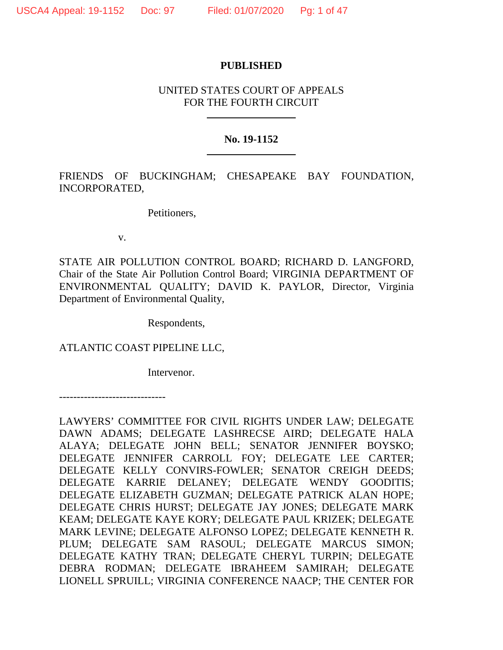## **PUBLISHED**

# UNITED STATES COURT OF APPEALS FOR THE FOURTH CIRCUIT

# **No. 19-1152**

FRIENDS OF BUCKINGHAM; CHESAPEAKE BAY FOUNDATION, INCORPORATED,

Petitioners,

v.

STATE AIR POLLUTION CONTROL BOARD; RICHARD D. LANGFORD, Chair of the State Air Pollution Control Board; VIRGINIA DEPARTMENT OF ENVIRONMENTAL QUALITY; DAVID K. PAYLOR, Director, Virginia Department of Environmental Quality,

Respondents,

ATLANTIC COAST PIPELINE LLC,

Intervenor.

------------------------------

LAWYERS' COMMITTEE FOR CIVIL RIGHTS UNDER LAW; DELEGATE DAWN ADAMS; DELEGATE LASHRECSE AIRD; DELEGATE HALA ALAYA; DELEGATE JOHN BELL; SENATOR JENNIFER BOYSKO; DELEGATE JENNIFER CARROLL FOY; DELEGATE LEE CARTER; DELEGATE KELLY CONVIRS-FOWLER; SENATOR CREIGH DEEDS; DELEGATE KARRIE DELANEY; DELEGATE WENDY GOODITIS; DELEGATE ELIZABETH GUZMAN; DELEGATE PATRICK ALAN HOPE; DELEGATE CHRIS HURST; DELEGATE JAY JONES; DELEGATE MARK KEAM; DELEGATE KAYE KORY; DELEGATE PAUL KRIZEK; DELEGATE MARK LEVINE; DELEGATE ALFONSO LOPEZ; DELEGATE KENNETH R. PLUM; DELEGATE SAM RASOUL; DELEGATE MARCUS SIMON; DELEGATE KATHY TRAN; DELEGATE CHERYL TURPIN; DELEGATE DEBRA RODMAN; DELEGATE IBRAHEEM SAMIRAH; DELEGATE LIONELL SPRUILL; VIRGINIA CONFERENCE NAACP; THE CENTER FOR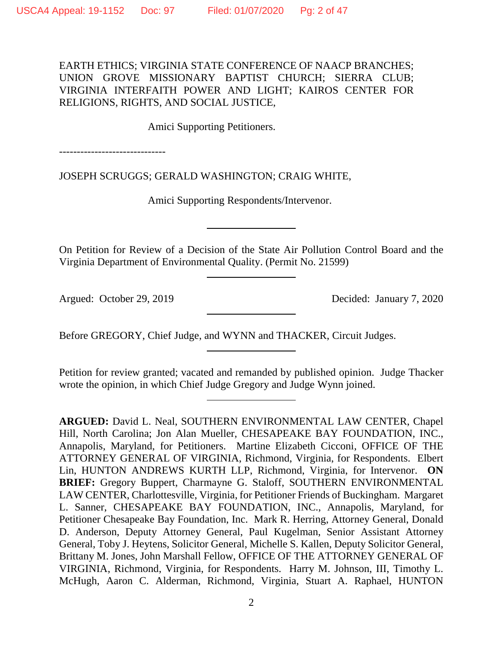EARTH ETHICS; VIRGINIA STATE CONFERENCE OF NAACP BRANCHES; UNION GROVE MISSIONARY BAPTIST CHURCH; SIERRA CLUB; VIRGINIA INTERFAITH POWER AND LIGHT; KAIROS CENTER FOR RELIGIONS, RIGHTS, AND SOCIAL JUSTICE,

Amici Supporting Petitioners.

------------------------------

JOSEPH SCRUGGS; GERALD WASHINGTON; CRAIG WHITE,

Amici Supporting Respondents/Intervenor.

On Petition for Review of a Decision of the State Air Pollution Control Board and the Virginia Department of Environmental Quality. (Permit No. 21599)

Argued: October 29, 2019 Decided: January 7, 2020

Before GREGORY, Chief Judge, and WYNN and THACKER, Circuit Judges.

Petition for review granted; vacated and remanded by published opinion. Judge Thacker wrote the opinion, in which Chief Judge Gregory and Judge Wynn joined.

**ARGUED:** David L. Neal, SOUTHERN ENVIRONMENTAL LAW CENTER, Chapel Hill, North Carolina; Jon Alan Mueller, CHESAPEAKE BAY FOUNDATION, INC., Annapolis, Maryland, for Petitioners. Martine Elizabeth Cicconi, OFFICE OF THE ATTORNEY GENERAL OF VIRGINIA, Richmond, Virginia, for Respondents. Elbert Lin, HUNTON ANDREWS KURTH LLP, Richmond, Virginia, for Intervenor. **ON BRIEF:** Gregory Buppert, Charmayne G. Staloff, SOUTHERN ENVIRONMENTAL LAW CENTER, Charlottesville, Virginia, for Petitioner Friends of Buckingham. Margaret L. Sanner, CHESAPEAKE BAY FOUNDATION, INC., Annapolis, Maryland, for Petitioner Chesapeake Bay Foundation, Inc. Mark R. Herring, Attorney General, Donald D. Anderson, Deputy Attorney General, Paul Kugelman, Senior Assistant Attorney General, Toby J. Heytens, Solicitor General, Michelle S. Kallen, Deputy Solicitor General, Brittany M. Jones, John Marshall Fellow, OFFICE OF THE ATTORNEY GENERAL OF VIRGINIA, Richmond, Virginia, for Respondents. Harry M. Johnson, III, Timothy L. McHugh, Aaron C. Alderman, Richmond, Virginia, Stuart A. Raphael, HUNTON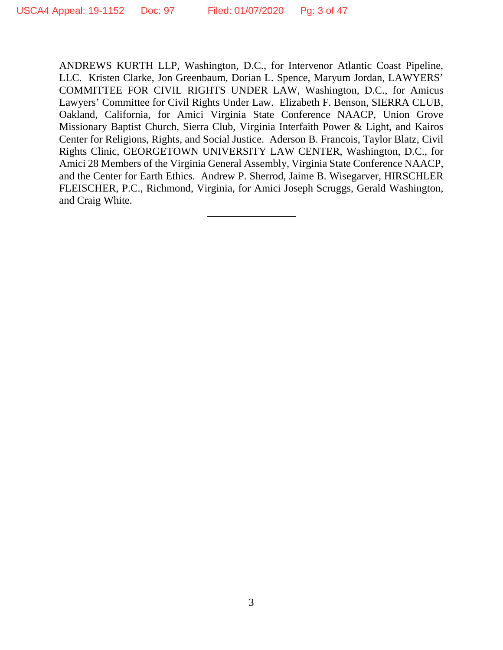ANDREWS KURTH LLP, Washington, D.C., for Intervenor Atlantic Coast Pipeline, LLC. Kristen Clarke, Jon Greenbaum, Dorian L. Spence, Maryum Jordan, LAWYERS' COMMITTEE FOR CIVIL RIGHTS UNDER LAW, Washington, D.C., for Amicus Lawyers' Committee for Civil Rights Under Law. Elizabeth F. Benson, SIERRA CLUB, Oakland, California, for Amici Virginia State Conference NAACP, Union Grove Missionary Baptist Church, Sierra Club, Virginia Interfaith Power & Light, and Kairos Center for Religions, Rights, and Social Justice. Aderson B. Francois, Taylor Blatz, Civil Rights Clinic, GEORGETOWN UNIVERSITY LAW CENTER, Washington, D.C., for Amici 28 Members of the Virginia General Assembly, Virginia State Conference NAACP, and the Center for Earth Ethics. Andrew P. Sherrod, Jaime B. Wisegarver, HIRSCHLER FLEISCHER, P.C., Richmond, Virginia, for Amici Joseph Scruggs, Gerald Washington, and Craig White.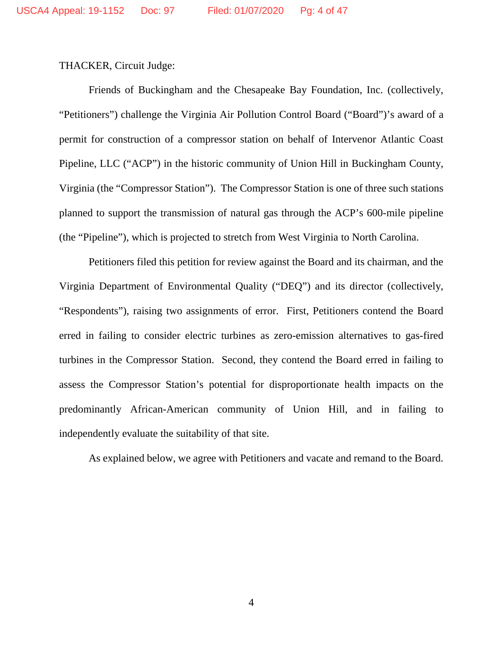THACKER, Circuit Judge:

Friends of Buckingham and the Chesapeake Bay Foundation, Inc. (collectively, "Petitioners") challenge the Virginia Air Pollution Control Board ("Board")'s award of a permit for construction of a compressor station on behalf of Intervenor Atlantic Coast Pipeline, LLC ("ACP") in the historic community of Union Hill in Buckingham County, Virginia (the "Compressor Station"). The Compressor Station is one of three such stations planned to support the transmission of natural gas through the ACP's 600-mile pipeline (the "Pipeline"), which is projected to stretch from West Virginia to North Carolina.

Petitioners filed this petition for review against the Board and its chairman, and the Virginia Department of Environmental Quality ("DEQ") and its director (collectively, "Respondents"), raising two assignments of error. First, Petitioners contend the Board erred in failing to consider electric turbines as zero-emission alternatives to gas-fired turbines in the Compressor Station. Second, they contend the Board erred in failing to assess the Compressor Station's potential for disproportionate health impacts on the predominantly African-American community of Union Hill, and in failing to independently evaluate the suitability of that site.

As explained below, we agree with Petitioners and vacate and remand to the Board.

4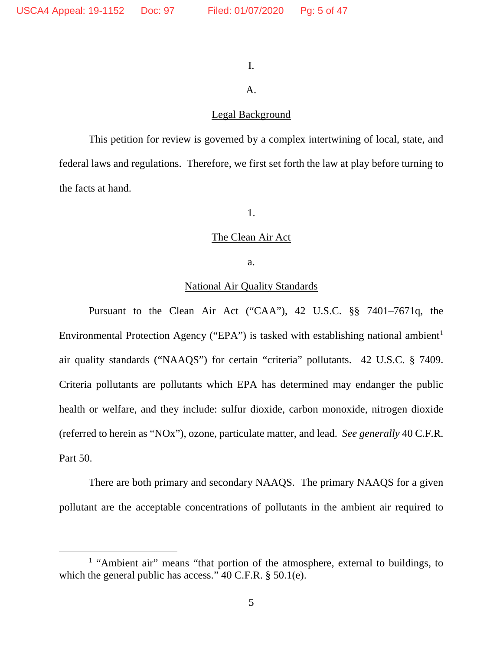## I.

# A.

# Legal Background

This petition for review is governed by a complex intertwining of local, state, and federal laws and regulations. Therefore, we first set forth the law at play before turning to the facts at hand.

1.

# The Clean Air Act

a.

# National Air Quality Standards

Pursuant to the Clean Air Act ("CAA"), 42 U.S.C. §§ 7401–7671q, the Environmental Protection Agency ("EPA") is tasked with establishing national ambient<sup>[1](#page-4-0)</sup> air quality standards ("NAAQS") for certain "criteria" pollutants. 42 U.S.C. § 7409. Criteria pollutants are pollutants which EPA has determined may endanger the public health or welfare, and they include: sulfur dioxide, carbon monoxide, nitrogen dioxide (referred to herein as "NOx"), ozone, particulate matter, and lead. *See generally* 40 C.F.R. Part 50.

There are both primary and secondary NAAQS. The primary NAAQS for a given pollutant are the acceptable concentrations of pollutants in the ambient air required to

<span id="page-4-0"></span><sup>&</sup>lt;sup>1</sup> "Ambient air" means "that portion of the atmosphere, external to buildings, to which the general public has access." 40 C.F.R. § 50.1(e).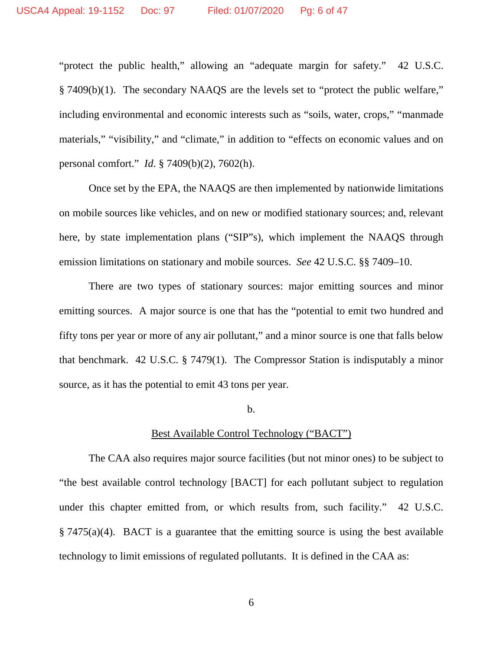"protect the public health," allowing an "adequate margin for safety." 42 U.S.C. § 7409(b)(1). The secondary NAAQS are the levels set to "protect the public welfare," including environmental and economic interests such as "soils, water, crops," "manmade materials," "visibility," and "climate," in addition to "effects on economic values and on personal comfort." *Id*. § 7409(b)(2), 7602(h).

Once set by the EPA, the NAAQS are then implemented by nationwide limitations on mobile sources like vehicles, and on new or modified stationary sources; and, relevant here, by state implementation plans ("SIP"s), which implement the NAAQS through emission limitations on stationary and mobile sources. *See* 42 U.S.C. §§ 7409–10.

There are two types of stationary sources: major emitting sources and minor emitting sources. A major source is one that has the "potential to emit two hundred and fifty tons per year or more of any air pollutant," and a minor source is one that falls below that benchmark. 42 U.S.C. § 7479(1). The Compressor Station is indisputably a minor source, as it has the potential to emit 43 tons per year.

#### b.

### Best Available Control Technology ("BACT")

The CAA also requires major source facilities (but not minor ones) to be subject to "the best available control technology [BACT] for each pollutant subject to regulation under this chapter emitted from, or which results from, such facility." 42 U.S.C. § 7475(a)(4). BACT is a guarantee that the emitting source is using the best available technology to limit emissions of regulated pollutants. It is defined in the CAA as: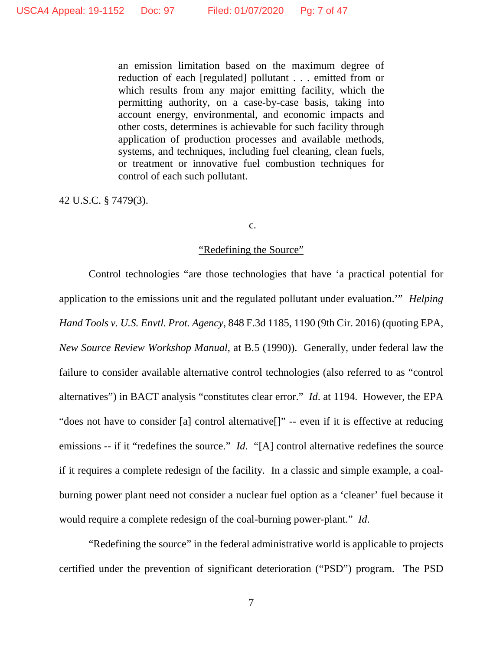an emission limitation based on the maximum degree of reduction of each [regulated] pollutant . . . emitted from or which results from any major emitting facility, which the permitting authority, on a case-by-case basis, taking into account energy, environmental, and economic impacts and other costs, determines is achievable for such facility through application of production processes and available methods, systems, and techniques, including fuel cleaning, clean fuels, or treatment or innovative fuel combustion techniques for control of each such pollutant.

42 U.S.C. § 7479(3).

#### c.

#### "Redefining the Source"

Control technologies "are those technologies that have 'a practical potential for application to the emissions unit and the regulated pollutant under evaluation.'" *Helping Hand Tools v. U.S. Envtl. Prot. Agency*, 848 F.3d 1185, 1190 (9th Cir. 2016) (quoting EPA, *New Source Review Workshop Manual*, at B.5 (1990)). Generally, under federal law the failure to consider available alternative control technologies (also referred to as "control alternatives") in BACT analysis "constitutes clear error." *Id*. at 1194. However, the EPA "does not have to consider [a] control alternative[]" -- even if it is effective at reducing emissions -- if it "redefines the source." *Id.* "[A] control alternative redefines the source if it requires a complete redesign of the facility. In a classic and simple example, a coalburning power plant need not consider a nuclear fuel option as a 'cleaner' fuel because it would require a complete redesign of the coal-burning power-plant." *Id*.

"Redefining the source" in the federal administrative world is applicable to projects certified under the prevention of significant deterioration ("PSD") program. The PSD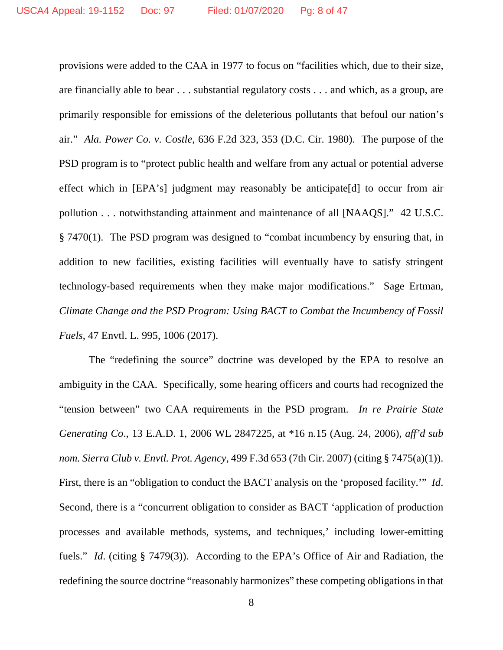provisions were added to the CAA in 1977 to focus on "facilities which, due to their size, are financially able to bear . . . substantial regulatory costs . . . and which, as a group, are primarily responsible for emissions of the deleterious pollutants that befoul our nation's air." *Ala. Power Co. v. Costle*, 636 F.2d 323, 353 (D.C. Cir. 1980). The purpose of the PSD program is to "protect public health and welfare from any actual or potential adverse effect which in [EPA's] judgment may reasonably be anticipate[d] to occur from air pollution . . . notwithstanding attainment and maintenance of all [NAAQS]." 42 U.S.C. § 7470(1). The PSD program was designed to "combat incumbency by ensuring that, in addition to new facilities, existing facilities will eventually have to satisfy stringent technology-based requirements when they make major modifications." Sage Ertman, *Climate Change and the PSD Program: Using BACT to Combat the Incumbency of Fossil Fuels*, 47 Envtl. L. 995, 1006 (2017).

The "redefining the source" doctrine was developed by the EPA to resolve an ambiguity in the CAA. Specifically, some hearing officers and courts had recognized the "tension between" two CAA requirements in the PSD program. *In re Prairie State Generating Co*., 13 E.A.D. 1, 2006 WL 2847225, at \*16 n.15 (Aug. 24, 2006), *aff'd sub nom. Sierra Club v. Envtl. Prot. Agency*, 499 F.3d 653 (7th Cir. 2007) (citing § 7475(a)(1)). First, there is an "obligation to conduct the BACT analysis on the 'proposed facility.'" *Id*. Second, there is a "concurrent obligation to consider as BACT 'application of production processes and available methods, systems, and techniques,' including lower-emitting fuels." *Id.* (citing § 7479(3)). According to the EPA's Office of Air and Radiation, the redefining the source doctrine "reasonably harmonizes" these competing obligations in that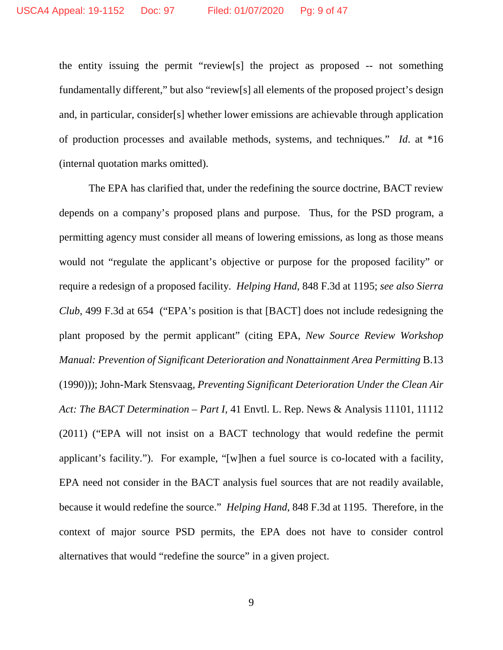the entity issuing the permit "review[s] the project as proposed -- not something fundamentally different," but also "review[s] all elements of the proposed project's design and, in particular, consider[s] whether lower emissions are achievable through application of production processes and available methods, systems, and techniques." *Id*. at \*16 (internal quotation marks omitted).

The EPA has clarified that, under the redefining the source doctrine, BACT review depends on a company's proposed plans and purpose. Thus, for the PSD program, a permitting agency must consider all means of lowering emissions, as long as those means would not "regulate the applicant's objective or purpose for the proposed facility" or require a redesign of a proposed facility. *Helping Hand*, 848 F.3d at 1195; *see also Sierra Club*, 499 F.3d at 654 ("EPA's position is that [BACT] does not include redesigning the plant proposed by the permit applicant" (citing EPA, *New Source Review Workshop Manual: Prevention of Significant Deterioration and Nonattainment Area Permitting* B.13 (1990))); John-Mark Stensvaag, *Preventing Significant Deterioration Under the Clean Air Act: The BACT Determination – Part I*, 41 Envtl. L. Rep. News & Analysis 11101, 11112 (2011) ("EPA will not insist on a BACT technology that would redefine the permit applicant's facility."). For example, "[w]hen a fuel source is co-located with a facility, EPA need not consider in the BACT analysis fuel sources that are not readily available, because it would redefine the source." *Helping Hand*, 848 F.3d at 1195. Therefore, in the context of major source PSD permits, the EPA does not have to consider control alternatives that would "redefine the source" in a given project.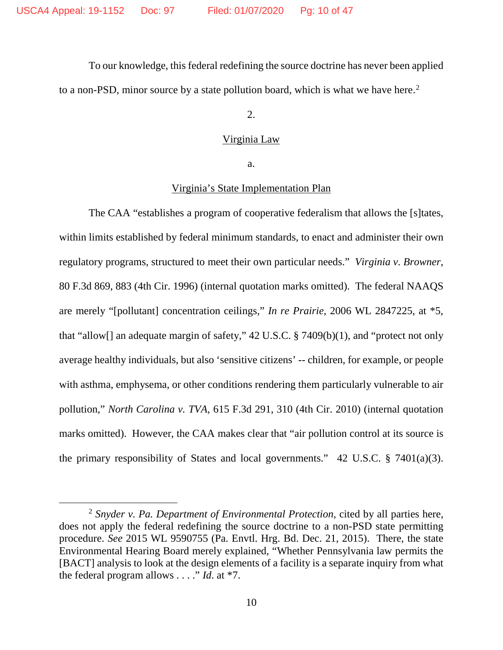To our knowledge, this federal redefining the source doctrine has never been applied to a non-PSD, minor source by a state pollution board, which is what we have here. [2](#page-9-0)

2.

### Virginia Law

a.

## Virginia's State Implementation Plan

The CAA "establishes a program of cooperative federalism that allows the [s]tates, within limits established by federal minimum standards, to enact and administer their own regulatory programs, structured to meet their own particular needs." *Virginia v. Browner*, 80 F.3d 869, 883 (4th Cir. 1996) (internal quotation marks omitted). The federal NAAQS are merely "[pollutant] concentration ceilings," *In re Prairie*, 2006 WL 2847225, at \*5, that "allow[] an adequate margin of safety,"  $42$  U.S.C. § 7409(b)(1), and "protect not only average healthy individuals, but also 'sensitive citizens' -- children, for example, or people with asthma, emphysema, or other conditions rendering them particularly vulnerable to air pollution," *North Carolina v. TVA*, 615 F.3d 291, 310 (4th Cir. 2010) (internal quotation marks omitted). However, the CAA makes clear that "air pollution control at its source is the primary responsibility of States and local governments." 42 U.S.C. § 7401(a)(3).

<span id="page-9-0"></span> <sup>2</sup> *Snyder v. Pa. Department of Environmental Protection*, cited by all parties here, does not apply the federal redefining the source doctrine to a non-PSD state permitting procedure. *See* 2015 WL 9590755 (Pa. Envtl. Hrg. Bd. Dec. 21, 2015). There, the state Environmental Hearing Board merely explained, "Whether Pennsylvania law permits the [BACT] analysis to look at the design elements of a facility is a separate inquiry from what the federal program allows . . . ." *Id*. at \*7.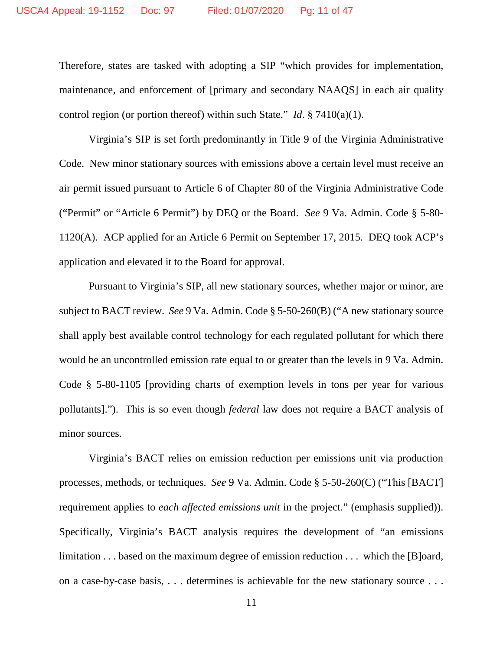Therefore, states are tasked with adopting a SIP "which provides for implementation, maintenance, and enforcement of [primary and secondary NAAQS] in each air quality control region (or portion thereof) within such State." *Id*. § 7410(a)(1).

Virginia's SIP is set forth predominantly in Title 9 of the Virginia Administrative Code. New minor stationary sources with emissions above a certain level must receive an air permit issued pursuant to Article 6 of Chapter 80 of the Virginia Administrative Code ("Permit" or "Article 6 Permit") by DEQ or the Board. *See* 9 Va. Admin. Code § 5-80- 1120(A). ACP applied for an Article 6 Permit on September 17, 2015. DEQ took ACP's application and elevated it to the Board for approval.

Pursuant to Virginia's SIP, all new stationary sources, whether major or minor, are subject to BACT review. *See* 9 Va. Admin. Code § 5-50-260(B) ("A new stationary source shall apply best available control technology for each regulated pollutant for which there would be an uncontrolled emission rate equal to or greater than the levels in 9 Va. Admin. Code § 5-80-1105 [providing charts of exemption levels in tons per year for various pollutants]."). This is so even though *federal* law does not require a BACT analysis of minor sources.

Virginia's BACT relies on emission reduction per emissions unit via production processes, methods, or techniques. *See* 9 Va. Admin. Code § 5-50-260(C) ("This [BACT] requirement applies to *each affected emissions unit* in the project." (emphasis supplied)). Specifically, Virginia's BACT analysis requires the development of "an emissions limitation . . . based on the maximum degree of emission reduction . . . which the [B]oard, on a case-by-case basis, . . . determines is achievable for the new stationary source . . .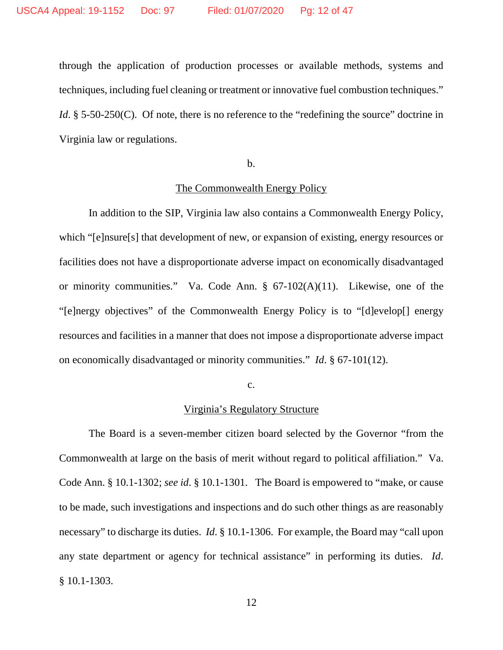through the application of production processes or available methods, systems and techniques, including fuel cleaning or treatment or innovative fuel combustion techniques." *Id*. § 5-50-250(C). Of note, there is no reference to the "redefining the source" doctrine in Virginia law or regulations.

#### b.

#### The Commonwealth Energy Policy

In addition to the SIP, Virginia law also contains a Commonwealth Energy Policy, which "[e]nsure[s] that development of new, or expansion of existing, energy resources or facilities does not have a disproportionate adverse impact on economically disadvantaged or minority communities." Va. Code Ann. § 67-102(A)(11). Likewise, one of the "[e]nergy objectives" of the Commonwealth Energy Policy is to "[d]evelop[] energy resources and facilities in a manner that does not impose a disproportionate adverse impact on economically disadvantaged or minority communities." *Id*. § 67-101(12).

c.

#### Virginia's Regulatory Structure

The Board is a seven-member citizen board selected by the Governor "from the Commonwealth at large on the basis of merit without regard to political affiliation." Va. Code Ann. § 10.1-1302; *see id*. § 10.1-1301. The Board is empowered to "make, or cause to be made, such investigations and inspections and do such other things as are reasonably necessary" to discharge its duties. *Id*. § 10.1-1306. For example, the Board may "call upon any state department or agency for technical assistance" in performing its duties. *Id*. § 10.1-1303.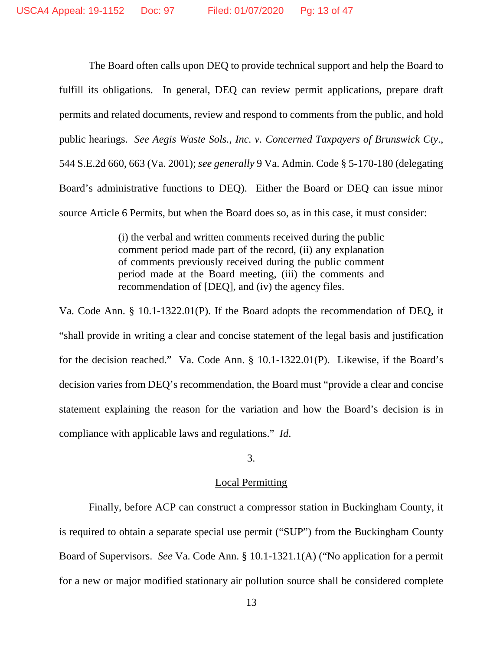The Board often calls upon DEQ to provide technical support and help the Board to fulfill its obligations. In general, DEQ can review permit applications, prepare draft permits and related documents, review and respond to comments from the public, and hold public hearings. *See Aegis Waste Sols., Inc. v. Concerned Taxpayers of Brunswick Cty*., 544 S.E.2d 660, 663 (Va. 2001); *see generally* 9 Va. Admin. Code § 5-170-180 (delegating Board's administrative functions to DEQ). Either the Board or DEQ can issue minor source Article 6 Permits, but when the Board does so, as in this case, it must consider:

> (i) the verbal and written comments received during the public comment period made part of the record, (ii) any explanation of comments previously received during the public comment period made at the Board meeting, (iii) the comments and recommendation of [DEQ], and (iv) the agency files.

Va. Code Ann. § 10.1-1322.01(P). If the Board adopts the recommendation of DEQ, it "shall provide in writing a clear and concise statement of the legal basis and justification for the decision reached." Va. Code Ann. § 10.1-1322.01(P).Likewise, if the Board's decision varies from DEQ's recommendation, the Board must "provide a clear and concise statement explaining the reason for the variation and how the Board's decision is in compliance with applicable laws and regulations." *Id*.

## 3.

# Local Permitting

Finally, before ACP can construct a compressor station in Buckingham County, it is required to obtain a separate special use permit ("SUP") from the Buckingham County Board of Supervisors. *See* Va. Code Ann. § 10.1-1321.1(A) ("No application for a permit for a new or major modified stationary air pollution source shall be considered complete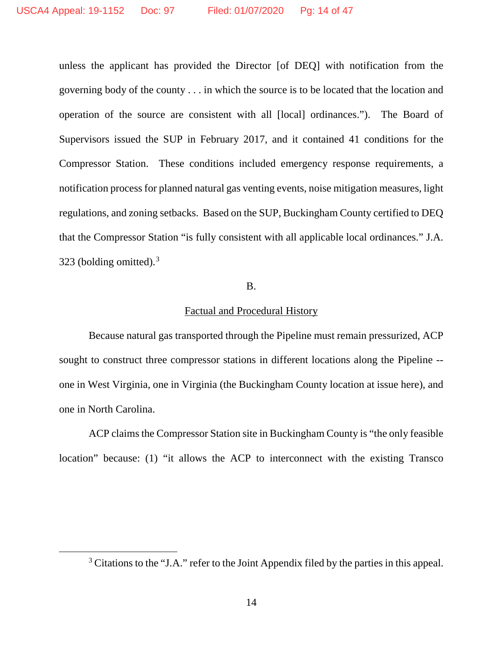unless the applicant has provided the Director [of DEQ] with notification from the governing body of the county . . . in which the source is to be located that the location and operation of the source are consistent with all [local] ordinances."). The Board of Supervisors issued the SUP in February 2017, and it contained 41 conditions for the Compressor Station. These conditions included emergency response requirements, a notification process for planned natural gas venting events, noise mitigation measures, light regulations, and zoning setbacks. Based on the SUP, Buckingham County certified to DEQ that the Compressor Station "is fully consistent with all applicable local ordinances." J.A. [3](#page-13-0)23 (bolding omitted).<sup>3</sup>

### B.

## Factual and Procedural History

Because natural gas transported through the Pipeline must remain pressurized, ACP sought to construct three compressor stations in different locations along the Pipeline - one in West Virginia, one in Virginia (the Buckingham County location at issue here), and one in North Carolina.

ACP claims the Compressor Station site in Buckingham County is "the only feasible location" because: (1) "it allows the ACP to interconnect with the existing Transco

<span id="page-13-0"></span><sup>&</sup>lt;sup>3</sup> Citations to the "J.A." refer to the Joint Appendix filed by the parties in this appeal.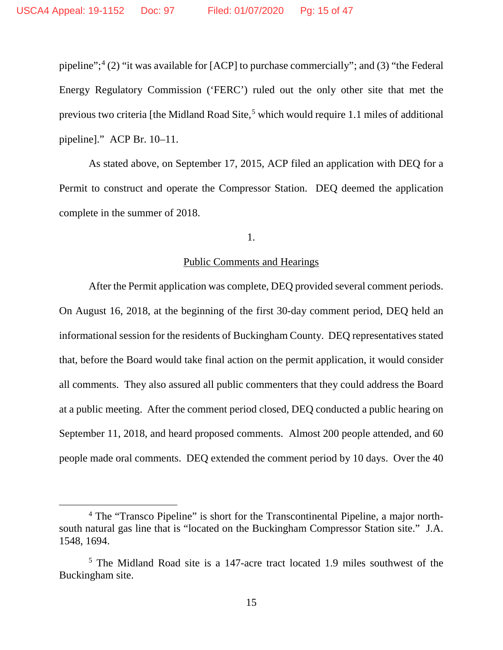pipeline";<sup>[4](#page-14-0)</sup> (2) "it was available for [ACP] to purchase commercially"; and (3) "the Federal Energy Regulatory Commission ('FERC') ruled out the only other site that met the previous two criteria [the Midland Road Site,<sup>[5](#page-14-1)</sup> which would require 1.1 miles of additional pipeline]." ACP Br. 10–11.

As stated above, on September 17, 2015, ACP filed an application with DEQ for a Permit to construct and operate the Compressor Station. DEQ deemed the application complete in the summer of 2018.

### 1.

## Public Comments and Hearings

After the Permit application was complete, DEQ provided several comment periods. On August 16, 2018, at the beginning of the first 30-day comment period, DEQ held an informational session for the residents of Buckingham County. DEQ representatives stated that, before the Board would take final action on the permit application, it would consider all comments. They also assured all public commenters that they could address the Board at a public meeting. After the comment period closed, DEQ conducted a public hearing on September 11, 2018, and heard proposed comments. Almost 200 people attended, and 60 people made oral comments. DEQ extended the comment period by 10 days. Over the 40

<span id="page-14-0"></span> <sup>4</sup> The "Transco Pipeline" is short for the Transcontinental Pipeline, a major northsouth natural gas line that is "located on the Buckingham Compressor Station site." J.A. 1548, 1694.

<span id="page-14-1"></span><sup>5</sup> The Midland Road site is a 147-acre tract located 1.9 miles southwest of the Buckingham site.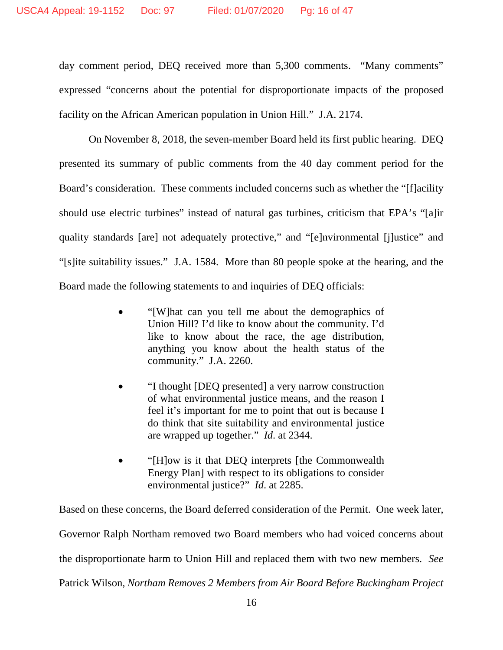day comment period, DEQ received more than 5,300 comments. "Many comments" expressed "concerns about the potential for disproportionate impacts of the proposed facility on the African American population in Union Hill." J.A. 2174.

On November 8, 2018, the seven-member Board held its first public hearing. DEQ presented its summary of public comments from the 40 day comment period for the Board's consideration. These comments included concerns such as whether the "[f]acility should use electric turbines" instead of natural gas turbines, criticism that EPA's "[a]ir quality standards [are] not adequately protective," and "[e]nvironmental [j]ustice" and "[s]ite suitability issues." J.A. 1584. More than 80 people spoke at the hearing, and the Board made the following statements to and inquiries of DEQ officials:

- "[W]hat can you tell me about the demographics of Union Hill? I'd like to know about the community. I'd like to know about the race, the age distribution, anything you know about the health status of the community." J.A. 2260.
- "I thought [DEQ presented] a very narrow construction of what environmental justice means, and the reason I feel it's important for me to point that out is because I do think that site suitability and environmental justice are wrapped up together." *Id*. at 2344.
- "[H]ow is it that DEQ interprets [the Commonwealth Energy Plan] with respect to its obligations to consider environmental justice?" *Id*. at 2285.

Based on these concerns, the Board deferred consideration of the Permit. One week later, Governor Ralph Northam removed two Board members who had voiced concerns about the disproportionate harm to Union Hill and replaced them with two new members. *See* Patrick Wilson, *Northam Removes 2 Members from Air Board Before Buckingham Project*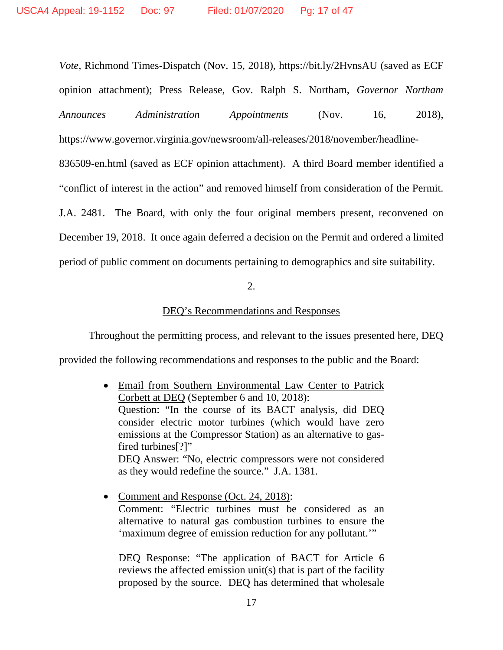*Vote*, Richmond Times-Dispatch (Nov. 15, 2018), https://bit.ly/2HvnsAU (saved as ECF opinion attachment); Press Release, Gov. Ralph S. Northam, *Governor Northam Announces Administration Appointments* (Nov. 16, 2018), https://www.governor.virginia.gov/newsroom/all-releases/2018/november/headline-

836509-en.html (saved as ECF opinion attachment). A third Board member identified a "conflict of interest in the action" and removed himself from consideration of the Permit. J.A. 2481. The Board, with only the four original members present, reconvened on December 19, 2018. It once again deferred a decision on the Permit and ordered a limited period of public comment on documents pertaining to demographics and site suitability.

## 2.

# DEQ's Recommendations and Responses

Throughout the permitting process, and relevant to the issues presented here, DEQ provided the following recommendations and responses to the public and the Board:

- Email from Southern Environmental Law Center to Patrick Corbett at DEQ (September 6 and 10, 2018): Question: "In the course of its BACT analysis, did DEQ consider electric motor turbines (which would have zero emissions at the Compressor Station) as an alternative to gasfired turbines<sup>[?]"</sup> DEQ Answer: "No, electric compressors were not considered as they would redefine the source." J.A. 1381.
- Comment and Response (Oct. 24, 2018): Comment: "Electric turbines must be considered as an alternative to natural gas combustion turbines to ensure the 'maximum degree of emission reduction for any pollutant.'"

DEQ Response: "The application of BACT for Article 6 reviews the affected emission unit(s) that is part of the facility proposed by the source. DEQ has determined that wholesale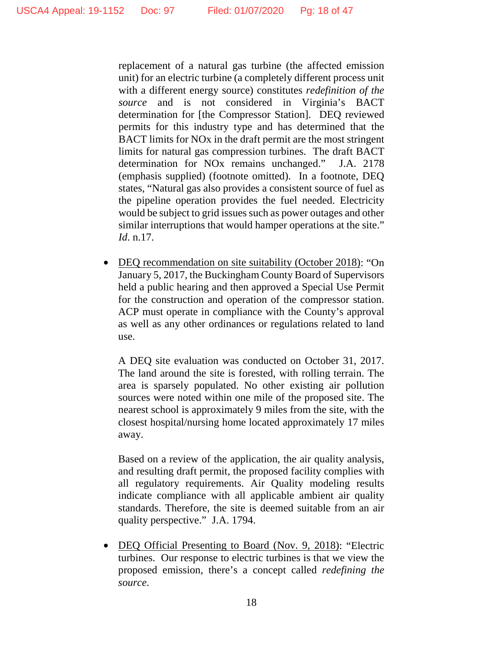replacement of a natural gas turbine (the affected emission unit) for an electric turbine (a completely different process unit with a different energy source) constitutes *redefinition of the source* and is not considered in Virginia's BACT determination for [the Compressor Station]. DEQ reviewed permits for this industry type and has determined that the BACT limits for NOx in the draft permit are the most stringent limits for natural gas compression turbines. The draft BACT determination for NOx remains unchanged." J.A. 2178 (emphasis supplied) (footnote omitted). In a footnote, DEQ states, "Natural gas also provides a consistent source of fuel as the pipeline operation provides the fuel needed. Electricity would be subject to grid issues such as power outages and other similar interruptions that would hamper operations at the site." *Id*. n.17.

• DEQ recommendation on site suitability (October 2018): "On January 5, 2017, the Buckingham County Board of Supervisors held a public hearing and then approved a Special Use Permit for the construction and operation of the compressor station. ACP must operate in compliance with the County's approval as well as any other ordinances or regulations related to land use.

A DEQ site evaluation was conducted on October 31, 2017. The land around the site is forested, with rolling terrain. The area is sparsely populated. No other existing air pollution sources were noted within one mile of the proposed site. The nearest school is approximately 9 miles from the site, with the closest hospital/nursing home located approximately 17 miles away.

Based on a review of the application, the air quality analysis, and resulting draft permit, the proposed facility complies with all regulatory requirements. Air Quality modeling results indicate compliance with all applicable ambient air quality standards. Therefore, the site is deemed suitable from an air quality perspective." J.A. 1794.

• DEQ Official Presenting to Board (Nov. 9, 2018): "Electric turbines. Our response to electric turbines is that we view the proposed emission, there's a concept called *redefining the source*.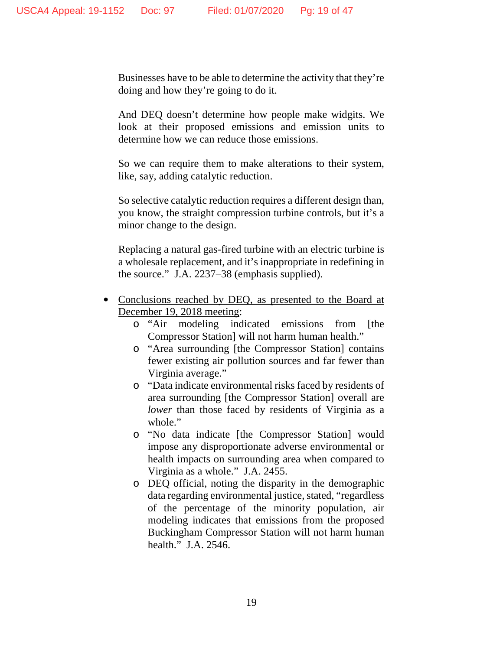Businesses have to be able to determine the activity that they're doing and how they're going to do it.

And DEQ doesn't determine how people make widgits. We look at their proposed emissions and emission units to determine how we can reduce those emissions.

So we can require them to make alterations to their system, like, say, adding catalytic reduction.

So selective catalytic reduction requires a different design than, you know, the straight compression turbine controls, but it's a minor change to the design.

Replacing a natural gas-fired turbine with an electric turbine is a wholesale replacement, and it's inappropriate in redefining in the source." J.A. 2237–38 (emphasis supplied).

- Conclusions reached by DEQ, as presented to the Board at December 19, 2018 meeting:
	- o "Air modeling indicated emissions from [the Compressor Station] will not harm human health."
	- o "Area surrounding [the Compressor Station] contains fewer existing air pollution sources and far fewer than Virginia average."
	- o "Data indicate environmental risks faced by residents of area surrounding [the Compressor Station] overall are *lower* than those faced by residents of Virginia as a whole."
	- o "No data indicate [the Compressor Station] would impose any disproportionate adverse environmental or health impacts on surrounding area when compared to Virginia as a whole." J.A. 2455.
	- o DEQ official, noting the disparity in the demographic data regarding environmental justice, stated, "regardless of the percentage of the minority population, air modeling indicates that emissions from the proposed Buckingham Compressor Station will not harm human health." J.A. 2546.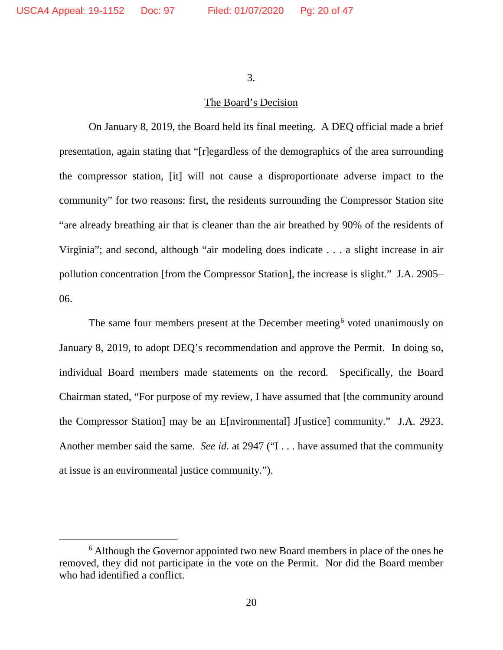3.

# The Board's Decision

On January 8, 2019, the Board held its final meeting. A DEQ official made a brief presentation, again stating that "[r]egardless of the demographics of the area surrounding the compressor station, [it] will not cause a disproportionate adverse impact to the community" for two reasons: first, the residents surrounding the Compressor Station site "are already breathing air that is cleaner than the air breathed by 90% of the residents of Virginia"; and second, although "air modeling does indicate . . . a slight increase in air pollution concentration [from the Compressor Station], the increase is slight." J.A. 2905– 06.

The same four members present at the December meeting<sup>[6](#page-19-0)</sup> voted unanimously on January 8, 2019, to adopt DEQ's recommendation and approve the Permit. In doing so, individual Board members made statements on the record. Specifically, the Board Chairman stated, "For purpose of my review, I have assumed that [the community around the Compressor Station] may be an E[nvironmental] J[ustice] community." J.A. 2923. Another member said the same. *See id*. at 2947 ("I . . . have assumed that the community at issue is an environmental justice community.").

<span id="page-19-0"></span> <sup>6</sup> Although the Governor appointed two new Board members in place of the ones he removed, they did not participate in the vote on the Permit. Nor did the Board member who had identified a conflict.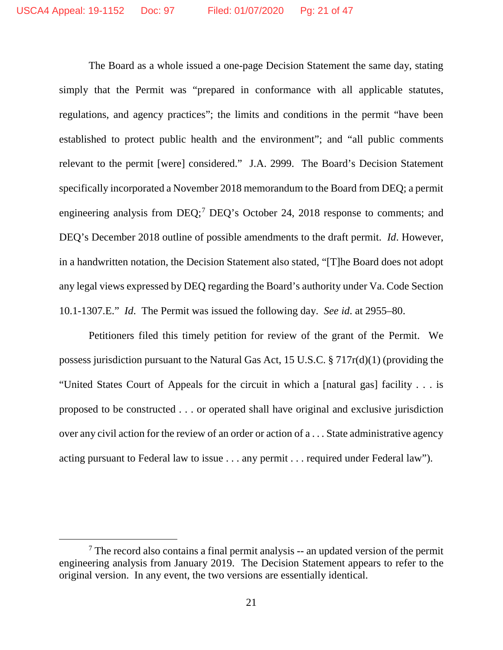The Board as a whole issued a one-page Decision Statement the same day, stating simply that the Permit was "prepared in conformance with all applicable statutes, regulations, and agency practices"; the limits and conditions in the permit "have been established to protect public health and the environment"; and "all public comments relevant to the permit [were] considered." J.A. 2999. The Board's Decision Statement specifically incorporated a November 2018 memorandum to the Board from DEQ; a permit engineering analysis from DEQ;<sup>[7](#page-20-0)</sup> DEQ's October 24, 2018 response to comments; and DEQ's December 2018 outline of possible amendments to the draft permit. *Id*. However, in a handwritten notation, the Decision Statement also stated, "[T]he Board does not adopt any legal views expressed by DEQ regarding the Board's authority under Va. Code Section 10.1-1307.E." *Id*. The Permit was issued the following day. *See id*. at 2955–80.

Petitioners filed this timely petition for review of the grant of the Permit. We possess jurisdiction pursuant to the Natural Gas Act, 15 U.S.C. § 717r(d)(1) (providing the "United States Court of Appeals for the circuit in which a [natural gas] facility . . . is proposed to be constructed . . . or operated shall have original and exclusive jurisdiction over any civil action for the review of an order or action of a . . . State administrative agency acting pursuant to Federal law to issue . . . any permit . . . required under Federal law").

<span id="page-20-0"></span> $<sup>7</sup>$  The record also contains a final permit analysis -- an updated version of the permit</sup> engineering analysis from January 2019. The Decision Statement appears to refer to the original version. In any event, the two versions are essentially identical.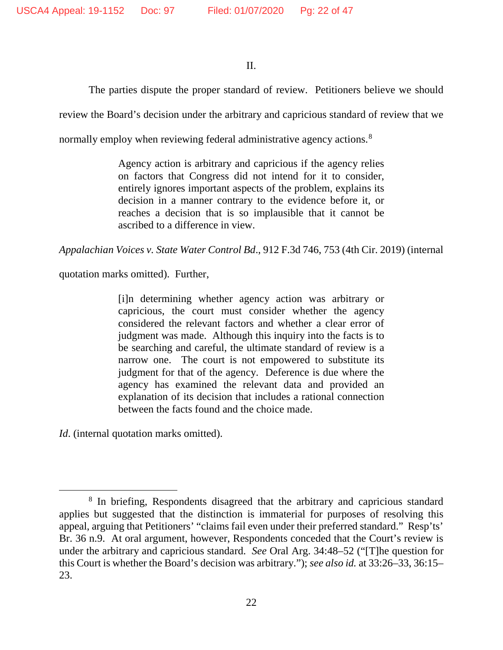### II.

The parties dispute the proper standard of review. Petitioners believe we should review the Board's decision under the arbitrary and capricious standard of review that we

normally employ when reviewing federal administrative agency actions.<sup>[8](#page-21-0)</sup>

Agency action is arbitrary and capricious if the agency relies on factors that Congress did not intend for it to consider, entirely ignores important aspects of the problem, explains its decision in a manner contrary to the evidence before it, or reaches a decision that is so implausible that it cannot be ascribed to a difference in view.

*Appalachian Voices v. State Water Control Bd*., 912 F.3d 746, 753 (4th Cir. 2019) (internal

quotation marks omitted). Further,

[i]n determining whether agency action was arbitrary or capricious, the court must consider whether the agency considered the relevant factors and whether a clear error of judgment was made. Although this inquiry into the facts is to be searching and careful, the ultimate standard of review is a narrow one. The court is not empowered to substitute its judgment for that of the agency. Deference is due where the agency has examined the relevant data and provided an explanation of its decision that includes a rational connection between the facts found and the choice made.

*Id.* (internal quotation marks omitted).

<span id="page-21-0"></span><sup>&</sup>lt;sup>8</sup> In briefing, Respondents disagreed that the arbitrary and capricious standard applies but suggested that the distinction is immaterial for purposes of resolving this appeal, arguing that Petitioners' "claims fail even under their preferred standard." Resp'ts' Br. 36 n.9. At oral argument, however, Respondents conceded that the Court's review is under the arbitrary and capricious standard. *See* Oral Arg. 34:48–52 ("[T]he question for this Court is whether the Board's decision was arbitrary."); *see also id.* at 33:26–33, 36:15– 23.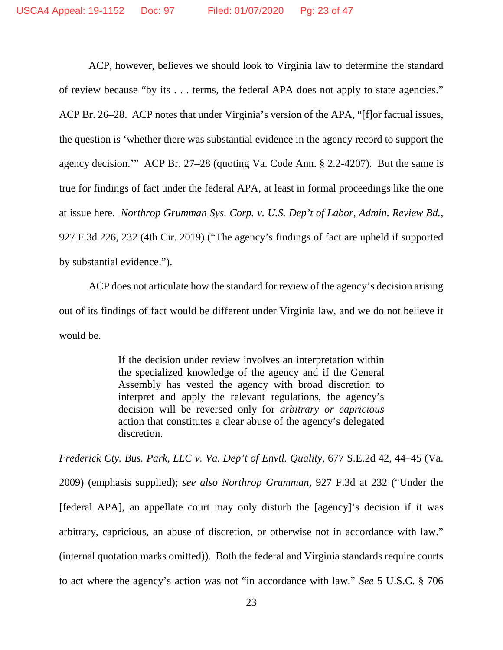ACP, however, believes we should look to Virginia law to determine the standard of review because "by its . . . terms, the federal APA does not apply to state agencies." ACP Br. 26–28. ACP notes that under Virginia's version of the APA, "[f]or factual issues, the question is 'whether there was substantial evidence in the agency record to support the agency decision.'" ACP Br. 27–28 (quoting Va. Code Ann. § 2.2-4207). But the same is true for findings of fact under the federal APA, at least in formal proceedings like the one at issue here. *Northrop Grumman Sys. Corp. v. U.S. Dep't of Labor, Admin. Review Bd.*, 927 F.3d 226, 232 (4th Cir. 2019) ("The agency's findings of fact are upheld if supported by substantial evidence.").

ACP does not articulate how the standard for review of the agency's decision arising out of its findings of fact would be different under Virginia law, and we do not believe it would be.

> If the decision under review involves an interpretation within the specialized knowledge of the agency and if the General Assembly has vested the agency with broad discretion to interpret and apply the relevant regulations, the agency's decision will be reversed only for *arbitrary or capricious* action that constitutes a clear abuse of the agency's delegated discretion.

*Frederick Cty. Bus. Park, LLC v. Va. Dep't of Envtl. Quality*, 677 S.E.2d 42, 44–45 (Va. 2009) (emphasis supplied); *see also Northrop Grumman*, 927 F.3d at 232 ("Under the [federal APA], an appellate court may only disturb the [agency]'s decision if it was arbitrary, capricious, an abuse of discretion, or otherwise not in accordance with law." (internal quotation marks omitted)). Both the federal and Virginia standards require courts to act where the agency's action was not "in accordance with law." *See* 5 U.S.C. § 706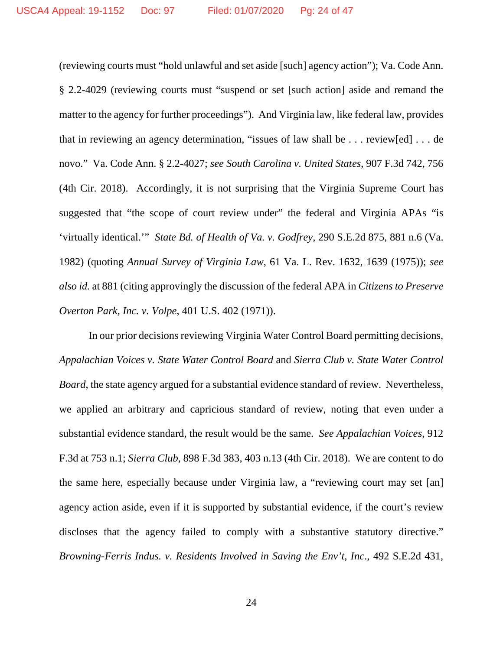(reviewing courts must "hold unlawful and set aside [such] agency action"); Va. Code Ann. § 2.2-4029 (reviewing courts must "suspend or set [such action] aside and remand the matter to the agency for further proceedings"). And Virginia law, like federal law, provides that in reviewing an agency determination, "issues of law shall be . . . review[ed] . . . de novo." Va. Code Ann. § 2.2-4027; *see South Carolina v. United States*, 907 F.3d 742, 756 (4th Cir. 2018). Accordingly, it is not surprising that the Virginia Supreme Court has suggested that "the scope of court review under" the federal and Virginia APAs "is 'virtually identical.'" *State Bd. of Health of Va. v. Godfrey*, 290 S.E.2d 875, 881 n.6 (Va. 1982) (quoting *Annual Survey of Virginia Law*, 61 Va. L. Rev. 1632, 1639 (1975)); *see also id.* at 881 (citing approvingly the discussion of the federal APA in *Citizens to Preserve Overton Park, Inc. v. Volpe*, 401 U.S. 402 (1971)).

In our prior decisions reviewing Virginia Water Control Board permitting decisions, *Appalachian Voices v. State Water Control Board* and *Sierra Club v. State Water Control Board*, the state agency argued for a substantial evidence standard of review. Nevertheless, we applied an arbitrary and capricious standard of review, noting that even under a substantial evidence standard, the result would be the same. *See Appalachian Voices*, 912 F.3d at 753 n.1; *Sierra Club*, 898 F.3d 383, 403 n.13 (4th Cir. 2018). We are content to do the same here, especially because under Virginia law, a "reviewing court may set [an] agency action aside, even if it is supported by substantial evidence, if the court's review discloses that the agency failed to comply with a substantive statutory directive." *Browning-Ferris Indus. v. Residents Involved in Saving the Env't, Inc*., 492 S.E.2d 431,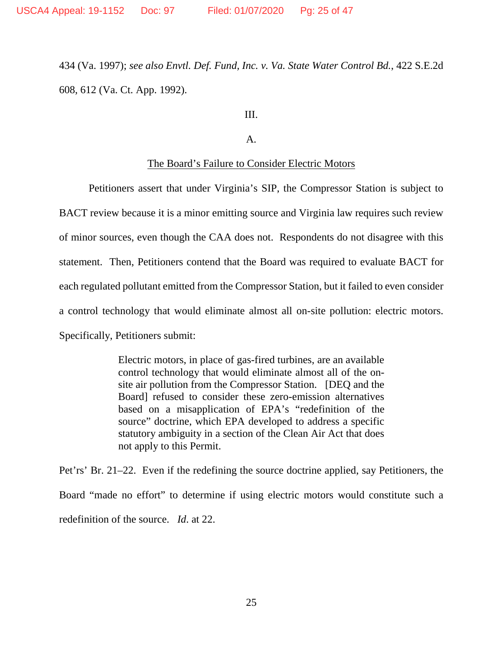434 (Va. 1997); *see also Envtl. Def. Fund, Inc. v. Va. State Water Control Bd.*, 422 S.E.2d 608, 612 (Va. Ct. App. 1992).

III.

A.

#### The Board's Failure to Consider Electric Motors

Petitioners assert that under Virginia's SIP, the Compressor Station is subject to BACT review because it is a minor emitting source and Virginia law requires such review of minor sources, even though the CAA does not. Respondents do not disagree with this statement. Then, Petitioners contend that the Board was required to evaluate BACT for each regulated pollutant emitted from the Compressor Station, but it failed to even consider a control technology that would eliminate almost all on-site pollution: electric motors. Specifically, Petitioners submit:

> Electric motors, in place of gas-fired turbines, are an available control technology that would eliminate almost all of the onsite air pollution from the Compressor Station. [DEQ and the Board] refused to consider these zero-emission alternatives based on a misapplication of EPA's "redefinition of the source" doctrine, which EPA developed to address a specific statutory ambiguity in a section of the Clean Air Act that does not apply to this Permit.

Pet'rs' Br. 21–22. Even if the redefining the source doctrine applied, say Petitioners, the Board "made no effort" to determine if using electric motors would constitute such a redefinition of the source. *Id*. at 22.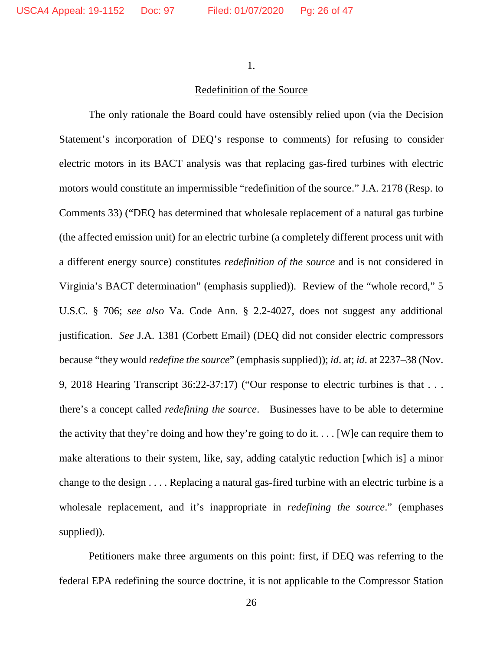1.

# Redefinition of the Source

The only rationale the Board could have ostensibly relied upon (via the Decision Statement's incorporation of DEQ's response to comments) for refusing to consider electric motors in its BACT analysis was that replacing gas-fired turbines with electric motors would constitute an impermissible "redefinition of the source." J.A. 2178 (Resp. to Comments 33) ("DEQ has determined that wholesale replacement of a natural gas turbine (the affected emission unit) for an electric turbine (a completely different process unit with a different energy source) constitutes *redefinition of the source* and is not considered in Virginia's BACT determination" (emphasis supplied)). Review of the "whole record," 5 U.S.C. § 706; *see also* Va. Code Ann. § 2.2-4027, does not suggest any additional justification. *See* J.A. 1381 (Corbett Email) (DEQ did not consider electric compressors because "they would *redefine the source*" (emphasis supplied)); *id*. at; *id*. at 2237–38 (Nov. 9, 2018 Hearing Transcript 36:22-37:17) ("Our response to electric turbines is that . . . there's a concept called *redefining the source*. Businesses have to be able to determine the activity that they're doing and how they're going to do it.... [W] e can require them to make alterations to their system, like, say, adding catalytic reduction [which is] a minor change to the design . . . . Replacing a natural gas-fired turbine with an electric turbine is a wholesale replacement, and it's inappropriate in *redefining the source*." (emphases supplied)).

Petitioners make three arguments on this point: first, if DEQ was referring to the federal EPA redefining the source doctrine, it is not applicable to the Compressor Station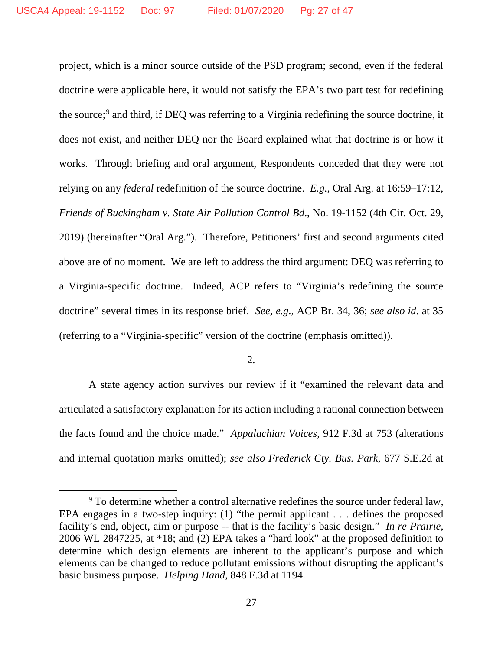project, which is a minor source outside of the PSD program; second, even if the federal doctrine were applicable here, it would not satisfy the EPA's two part test for redefining the source;<sup>[9](#page-26-0)</sup> and third, if DEQ was referring to a Virginia redefining the source doctrine, it does not exist, and neither DEQ nor the Board explained what that doctrine is or how it works. Through briefing and oral argument, Respondents conceded that they were not relying on any *federal* redefinition of the source doctrine. *E.g.*, Oral Arg. at 16:59–17:12, *Friends of Buckingham v. State Air Pollution Control Bd*., No. 19-1152 (4th Cir. Oct. 29, 2019) (hereinafter "Oral Arg."). Therefore, Petitioners' first and second arguments cited above are of no moment. We are left to address the third argument: DEQ was referring to a Virginia-specific doctrine. Indeed, ACP refers to "Virginia's redefining the source doctrine" several times in its response brief. *See, e.g*., ACP Br. 34, 36; *see also id*. at 35 (referring to a "Virginia-specific" version of the doctrine (emphasis omitted)).

2.

A state agency action survives our review if it "examined the relevant data and articulated a satisfactory explanation for its action including a rational connection between the facts found and the choice made." *Appalachian Voices*, 912 F.3d at 753 (alterations and internal quotation marks omitted); *see also Frederick Cty. Bus. Park*, 677 S.E.2d at

<span id="page-26-0"></span><sup>&</sup>lt;sup>9</sup> To determine whether a control alternative redefines the source under federal law, EPA engages in a two-step inquiry: (1) "the permit applicant . . . defines the proposed facility's end, object, aim or purpose -- that is the facility's basic design." *In re Prairie*, 2006 WL 2847225, at \*18; and (2) EPA takes a "hard look" at the proposed definition to determine which design elements are inherent to the applicant's purpose and which elements can be changed to reduce pollutant emissions without disrupting the applicant's basic business purpose. *Helping Hand*, 848 F.3d at 1194.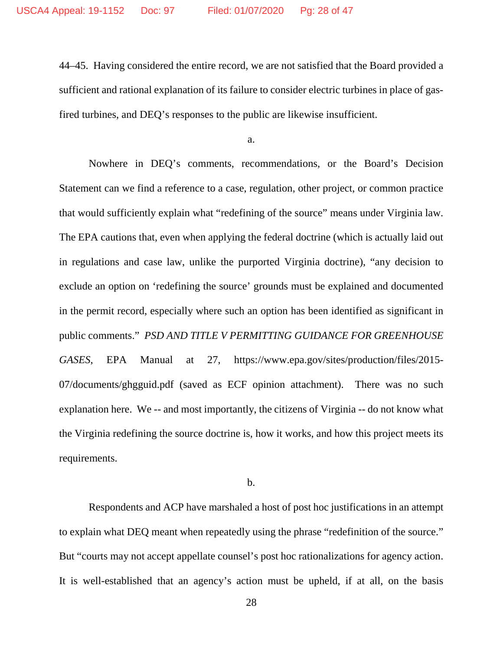44–45. Having considered the entire record, we are not satisfied that the Board provided a sufficient and rational explanation of its failure to consider electric turbines in place of gasfired turbines, and DEQ's responses to the public are likewise insufficient.

a.

Nowhere in DEQ's comments, recommendations, or the Board's Decision Statement can we find a reference to a case, regulation, other project, or common practice that would sufficiently explain what "redefining of the source" means under Virginia law. The EPA cautions that, even when applying the federal doctrine (which is actually laid out in regulations and case law, unlike the purported Virginia doctrine), "any decision to exclude an option on 'redefining the source' grounds must be explained and documented in the permit record, especially where such an option has been identified as significant in public comments." *PSD AND TITLE V PERMITTING GUIDANCE FOR GREENHOUSE GASES*, EPA Manual at 27, https://www.epa.gov/sites/production/files/2015- 07/documents/ghgguid.pdf (saved as ECF opinion attachment). There was no such explanation here. We -- and most importantly, the citizens of Virginia -- do not know what the Virginia redefining the source doctrine is, how it works, and how this project meets its requirements.

b.

Respondents and ACP have marshaled a host of post hoc justifications in an attempt to explain what DEQ meant when repeatedly using the phrase "redefinition of the source." But "courts may not accept appellate counsel's post hoc rationalizations for agency action. It is well-established that an agency's action must be upheld, if at all, on the basis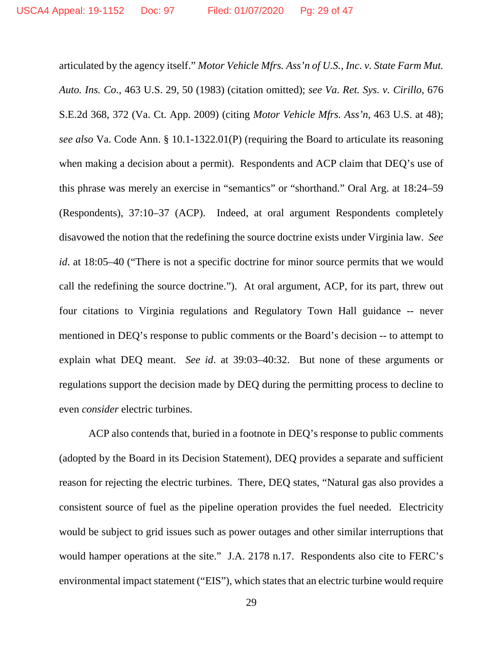articulated by the agency itself." *Motor Vehicle Mfrs. Ass'n of U.S., Inc. v. State Farm Mut. Auto. Ins. Co*., 463 U.S. 29, 50 (1983) (citation omitted); *see Va. Ret. Sys. v. Cirillo*, 676 S.E.2d 368, 372 (Va. Ct. App. 2009) (citing *Motor Vehicle Mfrs. Ass'n*, 463 U.S. at 48); *see also* Va. Code Ann. § 10.1-1322.01(P) (requiring the Board to articulate its reasoning when making a decision about a permit). Respondents and ACP claim that DEQ's use of this phrase was merely an exercise in "semantics" or "shorthand." Oral Arg. at 18:24–59 (Respondents), 37:10–37 (ACP). Indeed, at oral argument Respondents completely disavowed the notion that the redefining the source doctrine exists under Virginia law. *See id*. at 18:05–40 ("There is not a specific doctrine for minor source permits that we would call the redefining the source doctrine."). At oral argument, ACP, for its part, threw out four citations to Virginia regulations and Regulatory Town Hall guidance -- never mentioned in DEQ's response to public comments or the Board's decision -- to attempt to explain what DEQ meant. *See id*. at 39:03–40:32. But none of these arguments or regulations support the decision made by DEQ during the permitting process to decline to even *consider* electric turbines.

ACP also contends that, buried in a footnote in DEQ's response to public comments (adopted by the Board in its Decision Statement), DEQ provides a separate and sufficient reason for rejecting the electric turbines. There, DEQ states, "Natural gas also provides a consistent source of fuel as the pipeline operation provides the fuel needed. Electricity would be subject to grid issues such as power outages and other similar interruptions that would hamper operations at the site." J.A. 2178 n.17. Respondents also cite to FERC's environmental impact statement ("EIS"), which states that an electric turbine would require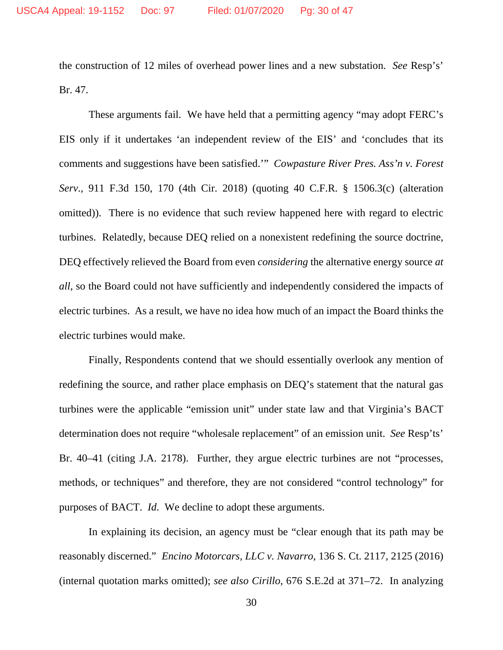the construction of 12 miles of overhead power lines and a new substation. *See* Resp's' Br. 47.

These arguments fail. We have held that a permitting agency "may adopt FERC's EIS only if it undertakes 'an independent review of the EIS' and 'concludes that its comments and suggestions have been satisfied.'" *Cowpasture River Pres. Ass'n v. Forest Serv*., 911 F.3d 150, 170 (4th Cir. 2018) (quoting 40 C.F.R. § 1506.3(c) (alteration omitted)). There is no evidence that such review happened here with regard to electric turbines. Relatedly, because DEQ relied on a nonexistent redefining the source doctrine, DEQ effectively relieved the Board from even *considering* the alternative energy source *at all*, so the Board could not have sufficiently and independently considered the impacts of electric turbines. As a result, we have no idea how much of an impact the Board thinks the electric turbines would make.

Finally, Respondents contend that we should essentially overlook any mention of redefining the source, and rather place emphasis on DEQ's statement that the natural gas turbines were the applicable "emission unit" under state law and that Virginia's BACT determination does not require "wholesale replacement" of an emission unit. *See* Resp'ts' Br. 40–41 (citing J.A. 2178). Further, they argue electric turbines are not "processes, methods, or techniques" and therefore, they are not considered "control technology" for purposes of BACT. *Id*. We decline to adopt these arguments.

In explaining its decision, an agency must be "clear enough that its path may be reasonably discerned." *Encino Motorcars, LLC v. Navarro*, 136 S. Ct. 2117, 2125 (2016) (internal quotation marks omitted); *see also Cirillo*, 676 S.E.2d at 371–72. In analyzing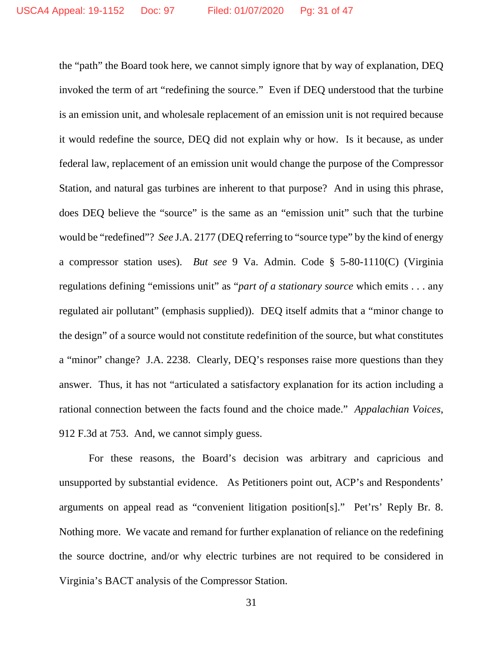the "path" the Board took here, we cannot simply ignore that by way of explanation, DEQ invoked the term of art "redefining the source." Even if DEQ understood that the turbine is an emission unit, and wholesale replacement of an emission unit is not required because it would redefine the source, DEQ did not explain why or how. Is it because, as under federal law, replacement of an emission unit would change the purpose of the Compressor Station, and natural gas turbines are inherent to that purpose? And in using this phrase, does DEQ believe the "source" is the same as an "emission unit" such that the turbine would be "redefined"? *See* J.A. 2177 (DEQ referring to "source type" by the kind of energy a compressor station uses). *But see* 9 Va. Admin. Code § 5-80-1110(C) (Virginia regulations defining "emissions unit" as "*part of a stationary source* which emits . . . any regulated air pollutant" (emphasis supplied)). DEQ itself admits that a "minor change to the design" of a source would not constitute redefinition of the source, but what constitutes a "minor" change? J.A. 2238. Clearly, DEQ's responses raise more questions than they answer. Thus, it has not "articulated a satisfactory explanation for its action including a rational connection between the facts found and the choice made." *Appalachian Voices*, 912 F.3d at 753. And, we cannot simply guess.

For these reasons, the Board's decision was arbitrary and capricious and unsupported by substantial evidence. As Petitioners point out, ACP's and Respondents' arguments on appeal read as "convenient litigation position[s]." Pet'rs' Reply Br. 8. Nothing more. We vacate and remand for further explanation of reliance on the redefining the source doctrine, and/or why electric turbines are not required to be considered in Virginia's BACT analysis of the Compressor Station.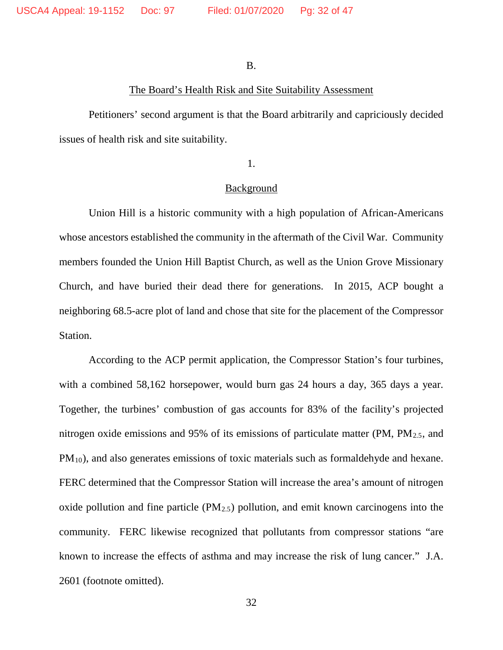B.

### The Board's Health Risk and Site Suitability Assessment

Petitioners' second argument is that the Board arbitrarily and capriciously decided issues of health risk and site suitability.

1.

#### **Background**

Union Hill is a historic community with a high population of African-Americans whose ancestors established the community in the aftermath of the Civil War. Community members founded the Union Hill Baptist Church, as well as the Union Grove Missionary Church, and have buried their dead there for generations. In 2015, ACP bought a neighboring 68.5-acre plot of land and chose that site for the placement of the Compressor Station.

According to the ACP permit application, the Compressor Station's four turbines, with a combined 58,162 horsepower, would burn gas 24 hours a day, 365 days a year. Together, the turbines' combustion of gas accounts for 83% of the facility's projected nitrogen oxide emissions and 95% of its emissions of particulate matter (PM,  $PM_{2.5}$ , and PM10), and also generates emissions of toxic materials such as formaldehyde and hexane. FERC determined that the Compressor Station will increase the area's amount of nitrogen oxide pollution and fine particle  $(PM_{2.5})$  pollution, and emit known carcinogens into the community. FERC likewise recognized that pollutants from compressor stations "are known to increase the effects of asthma and may increase the risk of lung cancer." J.A. 2601 (footnote omitted).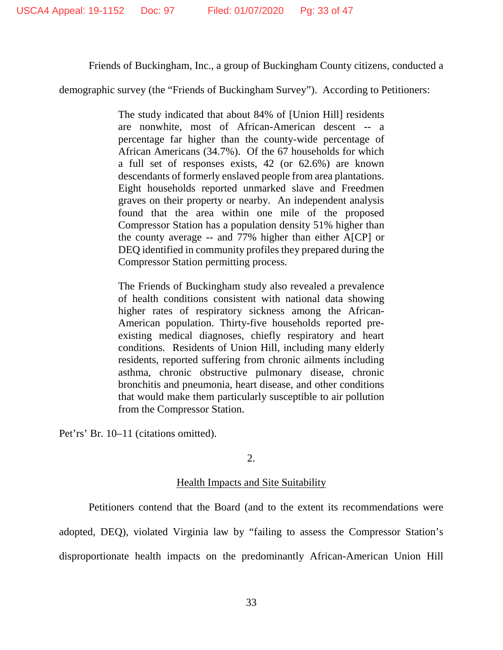Friends of Buckingham, Inc., a group of Buckingham County citizens, conducted a

demographic survey (the "Friends of Buckingham Survey"). According to Petitioners:

The study indicated that about 84% of [Union Hill] residents are nonwhite, most of African-American descent -- a percentage far higher than the county-wide percentage of African Americans (34.7%). Of the 67 households for which a full set of responses exists, 42 (or 62.6%) are known descendants of formerly enslaved people from area plantations. Eight households reported unmarked slave and Freedmen graves on their property or nearby. An independent analysis found that the area within one mile of the proposed Compressor Station has a population density 51% higher than the county average -- and 77% higher than either A[CP] or DEQ identified in community profiles they prepared during the Compressor Station permitting process.

The Friends of Buckingham study also revealed a prevalence of health conditions consistent with national data showing higher rates of respiratory sickness among the African-American population. Thirty-five households reported preexisting medical diagnoses, chiefly respiratory and heart conditions. Residents of Union Hill, including many elderly residents, reported suffering from chronic ailments including asthma, chronic obstructive pulmonary disease, chronic bronchitis and pneumonia, heart disease, and other conditions that would make them particularly susceptible to air pollution from the Compressor Station.

Pet'rs' Br. 10–11 (citations omitted).

2.

# Health Impacts and Site Suitability

Petitioners contend that the Board (and to the extent its recommendations were adopted, DEQ), violated Virginia law by "failing to assess the Compressor Station's disproportionate health impacts on the predominantly African-American Union Hill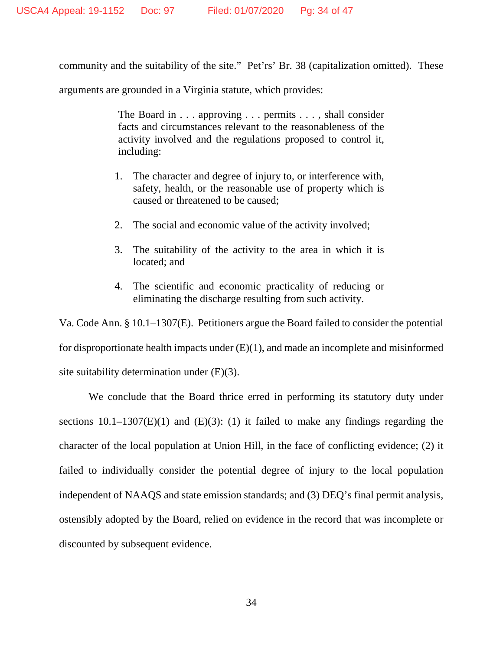community and the suitability of the site." Pet'rs' Br. 38 (capitalization omitted). These

arguments are grounded in a Virginia statute, which provides:

The Board in . . . approving . . . permits . . . , shall consider facts and circumstances relevant to the reasonableness of the activity involved and the regulations proposed to control it, including:

- 1. The character and degree of injury to, or interference with, safety, health, or the reasonable use of property which is caused or threatened to be caused;
- 2. The social and economic value of the activity involved;
- 3. The suitability of the activity to the area in which it is located; and
- 4. The scientific and economic practicality of reducing or eliminating the discharge resulting from such activity.

Va. Code Ann. § 10.1–1307(E). Petitioners argue the Board failed to consider the potential for disproportionate health impacts under  $(E)(1)$ , and made an incomplete and misinformed site suitability determination under (E)(3).

We conclude that the Board thrice erred in performing its statutory duty under sections  $10.1-1307(E)(1)$  and  $(E)(3)$ : (1) it failed to make any findings regarding the character of the local population at Union Hill, in the face of conflicting evidence; (2) it failed to individually consider the potential degree of injury to the local population independent of NAAQS and state emission standards; and (3) DEQ's final permit analysis, ostensibly adopted by the Board, relied on evidence in the record that was incomplete or discounted by subsequent evidence.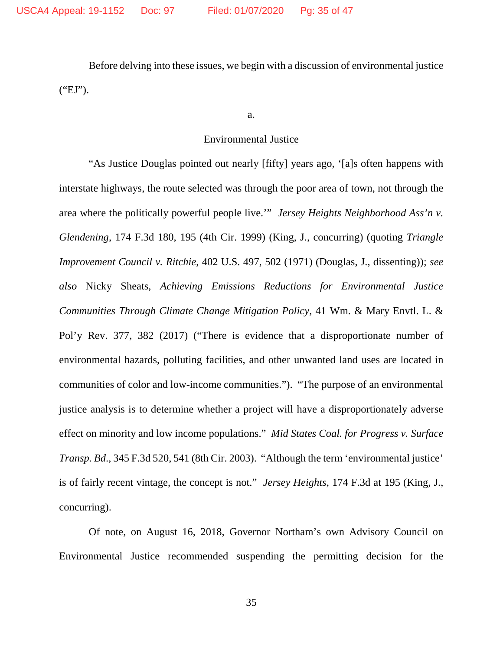Before delving into these issues, we begin with a discussion of environmental justice ("EJ").

a.

#### Environmental Justice

"As Justice Douglas pointed out nearly [fifty] years ago, '[a]s often happens with interstate highways, the route selected was through the poor area of town, not through the area where the politically powerful people live.'" *Jersey Heights Neighborhood Ass'n v. Glendening*, 174 F.3d 180, 195 (4th Cir. 1999) (King, J., concurring) (quoting *Triangle Improvement Council v. Ritchie*, 402 U.S. 497, 502 (1971) (Douglas, J., dissenting)); *see also* Nicky Sheats, *Achieving Emissions Reductions for Environmental Justice Communities Through Climate Change Mitigation Policy*, 41 Wm. & Mary Envtl. L. & Pol'y Rev. 377, 382 (2017) ("There is evidence that a disproportionate number of environmental hazards, polluting facilities, and other unwanted land uses are located in communities of color and low-income communities."). "The purpose of an environmental justice analysis is to determine whether a project will have a disproportionately adverse effect on minority and low income populations." *Mid States Coal. for Progress v. Surface Transp. Bd*., 345 F.3d 520, 541 (8th Cir. 2003). "Although the term 'environmental justice' is of fairly recent vintage, the concept is not." *Jersey Heights*, 174 F.3d at 195 (King, J., concurring).

Of note, on August 16, 2018, Governor Northam's own Advisory Council on Environmental Justice recommended suspending the permitting decision for the

35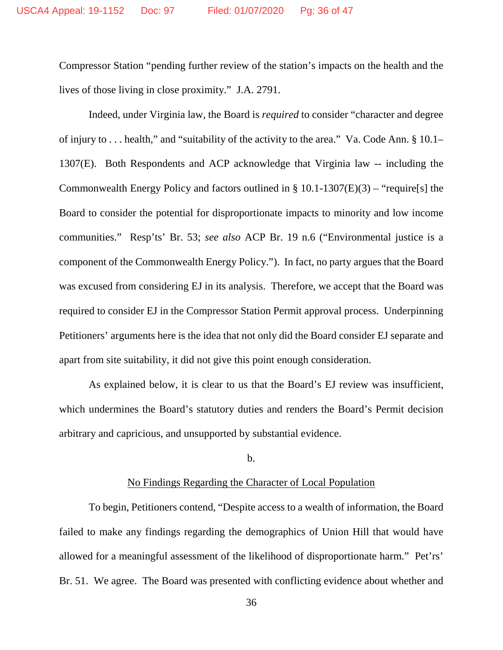Compressor Station "pending further review of the station's impacts on the health and the lives of those living in close proximity." J.A. 2791.

Indeed, under Virginia law, the Board is *required* to consider "character and degree of injury to . . . health," and "suitability of the activity to the area." Va. Code Ann. § 10.1– 1307(E). Both Respondents and ACP acknowledge that Virginia law -- including the Commonwealth Energy Policy and factors outlined in § 10.1-1307(E)(3) – "require[s] the Board to consider the potential for disproportionate impacts to minority and low income communities." Resp'ts' Br. 53; *see also* ACP Br. 19 n.6 ("Environmental justice is a component of the Commonwealth Energy Policy."). In fact, no party argues that the Board was excused from considering EJ in its analysis. Therefore, we accept that the Board was required to consider EJ in the Compressor Station Permit approval process. Underpinning Petitioners' arguments here is the idea that not only did the Board consider EJ separate and apart from site suitability, it did not give this point enough consideration.

As explained below, it is clear to us that the Board's EJ review was insufficient, which undermines the Board's statutory duties and renders the Board's Permit decision arbitrary and capricious, and unsupported by substantial evidence.

### b.

## No Findings Regarding the Character of Local Population

To begin, Petitioners contend, "Despite access to a wealth of information, the Board failed to make any findings regarding the demographics of Union Hill that would have allowed for a meaningful assessment of the likelihood of disproportionate harm." Pet'rs' Br. 51. We agree. The Board was presented with conflicting evidence about whether and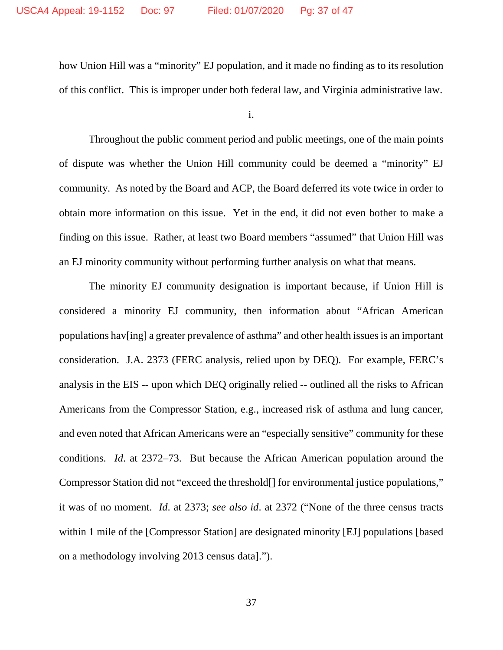how Union Hill was a "minority" EJ population, and it made no finding as to its resolution of this conflict. This is improper under both federal law, and Virginia administrative law.

i.

Throughout the public comment period and public meetings, one of the main points of dispute was whether the Union Hill community could be deemed a "minority" EJ community. As noted by the Board and ACP, the Board deferred its vote twice in order to obtain more information on this issue. Yet in the end, it did not even bother to make a finding on this issue. Rather, at least two Board members "assumed" that Union Hill was an EJ minority community without performing further analysis on what that means.

The minority EJ community designation is important because, if Union Hill is considered a minority EJ community, then information about "African American populations hav[ing] a greater prevalence of asthma" and other health issues is an important consideration. J.A. 2373 (FERC analysis, relied upon by DEQ). For example, FERC's analysis in the EIS -- upon which DEQ originally relied -- outlined all the risks to African Americans from the Compressor Station, e.g., increased risk of asthma and lung cancer, and even noted that African Americans were an "especially sensitive" community for these conditions. *Id*. at 2372–73. But because the African American population around the Compressor Station did not "exceed the threshold[] for environmental justice populations," it was of no moment. *Id*. at 2373; *see also id*. at 2372 ("None of the three census tracts within 1 mile of the [Compressor Station] are designated minority [EJ] populations [based on a methodology involving 2013 census data].").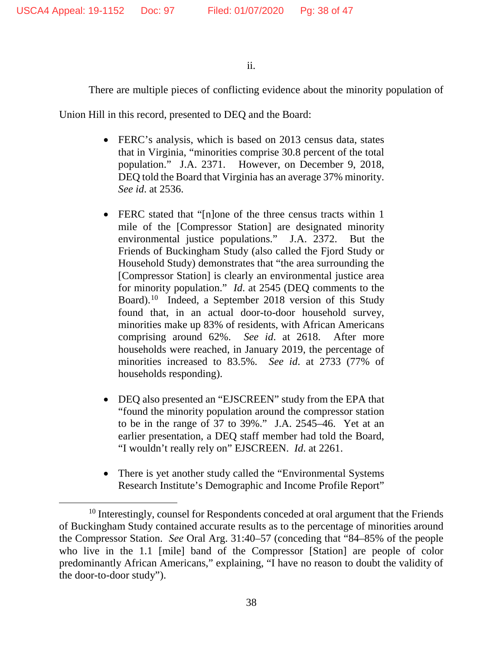## ii.

There are multiple pieces of conflicting evidence about the minority population of

Union Hill in this record, presented to DEQ and the Board:

- FERC's analysis, which is based on 2013 census data, states that in Virginia, "minorities comprise 30.8 percent of the total population." J.A. 2371. However, on December 9, 2018, DEQ told the Board that Virginia has an average 37% minority. *See id*. at 2536.
- FERC stated that "[n]one of the three census tracts within 1 mile of the [Compressor Station] are designated minority environmental justice populations." J.A. 2372. But the Friends of Buckingham Study (also called the Fjord Study or Household Study) demonstrates that "the area surrounding the [Compressor Station] is clearly an environmental justice area for minority population." *Id*. at 2545 (DEQ comments to the Board).[10](#page-37-0) Indeed, a September 2018 version of this Study found that, in an actual door-to-door household survey, minorities make up 83% of residents, with African Americans comprising around 62%. *See id*. at 2618. After more households were reached, in January 2019, the percentage of minorities increased to 83.5%. *See id*. at 2733 (77% of households responding).
- DEQ also presented an "EJSCREEN" study from the EPA that "found the minority population around the compressor station to be in the range of 37 to 39%." J.A. 2545–46. Yet at an earlier presentation, a DEQ staff member had told the Board, "I wouldn't really rely on" EJSCREEN. *Id*. at 2261.
- There is yet another study called the "Environmental Systems" Research Institute's Demographic and Income Profile Report"

<span id="page-37-0"></span><sup>&</sup>lt;sup>10</sup> Interestingly, counsel for Respondents conceded at oral argument that the Friends of Buckingham Study contained accurate results as to the percentage of minorities around the Compressor Station. *See* Oral Arg. 31:40–57 (conceding that "84–85% of the people who live in the 1.1 [mile] band of the Compressor [Station] are people of color predominantly African Americans," explaining, "I have no reason to doubt the validity of the door-to-door study").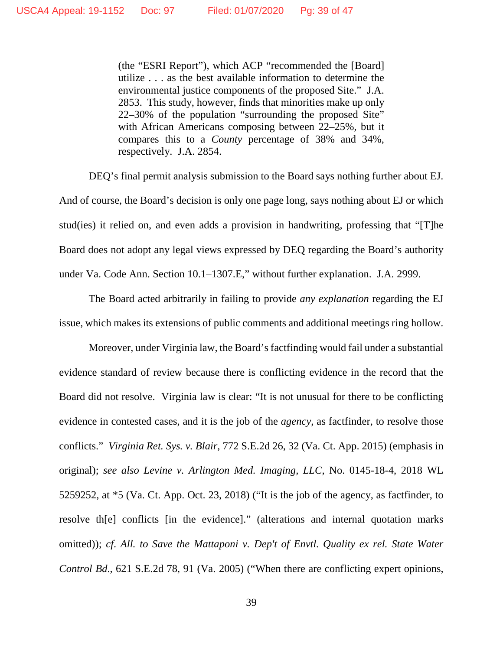(the "ESRI Report"), which ACP "recommended the [Board] utilize . . . as the best available information to determine the environmental justice components of the proposed Site." J.A. 2853. This study, however, finds that minorities make up only 22–30% of the population "surrounding the proposed Site" with African Americans composing between 22–25%, but it compares this to a *County* percentage of 38% and 34%, respectively. J.A. 2854.

DEQ's final permit analysis submission to the Board says nothing further about EJ. And of course, the Board's decision is only one page long, says nothing about EJ or which stud(ies) it relied on, and even adds a provision in handwriting, professing that "[T]he Board does not adopt any legal views expressed by DEQ regarding the Board's authority under Va. Code Ann. Section 10.1–1307.E," without further explanation. J.A. 2999.

The Board acted arbitrarily in failing to provide *any explanation* regarding the EJ issue, which makes its extensions of public comments and additional meetings ring hollow.

Moreover, under Virginia law, the Board's factfinding would fail under a substantial evidence standard of review because there is conflicting evidence in the record that the Board did not resolve. Virginia law is clear: "It is not unusual for there to be conflicting evidence in contested cases, and it is the job of the *agency*, as factfinder, to resolve those conflicts." *Virginia Ret. Sys. v. Blair*, 772 S.E.2d 26, 32 (Va. Ct. App. 2015) (emphasis in original); *see also Levine v. Arlington Med. Imaging, LLC*, No. 0145-18-4, 2018 WL 5259252, at \*5 (Va. Ct. App. Oct. 23, 2018) ("It is the job of the agency, as factfinder, to resolve th[e] conflicts [in the evidence]." (alterations and internal quotation marks omitted)); *cf*. *All. to Save the Mattaponi v. Dep't of Envtl. Quality ex rel. State Water Control Bd*., 621 S.E.2d 78, 91 (Va. 2005) ("When there are conflicting expert opinions,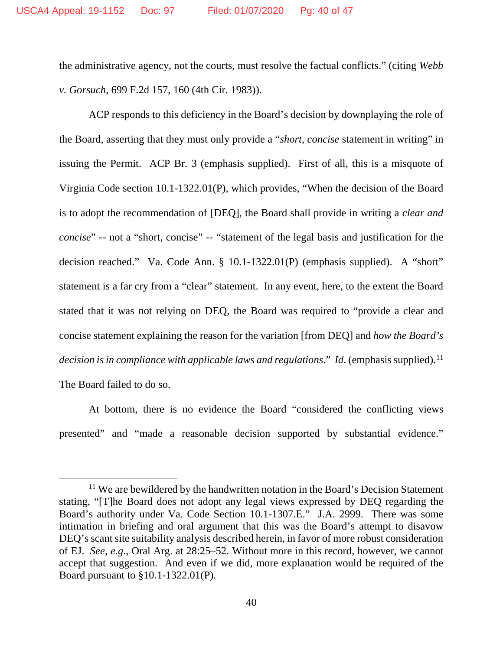the administrative agency, not the courts, must resolve the factual conflicts." (citing *Webb v. Gorsuch*, 699 F.2d 157, 160 (4th Cir. 1983)).

ACP responds to this deficiency in the Board's decision by downplaying the role of the Board, asserting that they must only provide a "*short, concise* statement in writing" in issuing the Permit. ACP Br. 3 (emphasis supplied). First of all, this is a misquote of Virginia Code section 10.1-1322.01(P), which provides, "When the decision of the Board is to adopt the recommendation of [DEQ], the Board shall provide in writing a *clear and concise*" -- not a "short, concise" -- "statement of the legal basis and justification for the decision reached." Va. Code Ann. § 10.1-1322.01(P) (emphasis supplied). A "short" statement is a far cry from a "clear" statement. In any event, here, to the extent the Board stated that it was not relying on DEQ, the Board was required to "provide a clear and concise statement explaining the reason for the variation [from DEQ] and *how the Board's decision is in compliance with applicable laws and regulations." Id.* (emphasis supplied).<sup>[11](#page-39-0)</sup> The Board failed to do so.

At bottom, there is no evidence the Board "considered the conflicting views presented" and "made a reasonable decision supported by substantial evidence."

<span id="page-39-0"></span><sup>&</sup>lt;sup>11</sup> We are bewildered by the handwritten notation in the Board's Decision Statement stating, "[T]he Board does not adopt any legal views expressed by DEQ regarding the Board's authority under Va. Code Section 10.1-1307.E." J.A. 2999. There was some intimation in briefing and oral argument that this was the Board's attempt to disavow DEQ's scant site suitability analysis described herein, in favor of more robust consideration of EJ. *See, e.g*., Oral Arg. at 28:25–52. Without more in this record, however, we cannot accept that suggestion. And even if we did, more explanation would be required of the Board pursuant to §10.1-1322.01(P).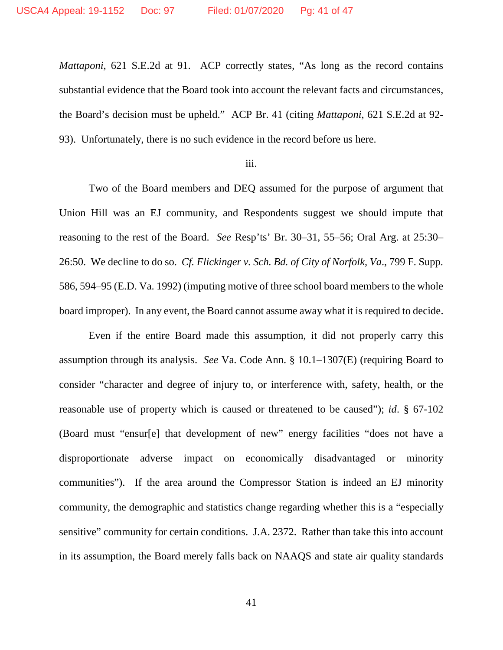*Mattaponi*, 621 S.E.2d at 91. ACP correctly states, "As long as the record contains substantial evidence that the Board took into account the relevant facts and circumstances, the Board's decision must be upheld." ACP Br. 41 (citing *Mattaponi*, 621 S.E.2d at 92- 93). Unfortunately, there is no such evidence in the record before us here.

#### iii.

Two of the Board members and DEQ assumed for the purpose of argument that Union Hill was an EJ community, and Respondents suggest we should impute that reasoning to the rest of the Board. *See* Resp'ts' Br. 30–31, 55–56; Oral Arg. at 25:30– 26:50. We decline to do so. *Cf. Flickinger v. Sch. Bd. of City of Norfolk, Va*., 799 F. Supp. 586, 594–95 (E.D. Va. 1992) (imputing motive of three school board members to the whole board improper). In any event, the Board cannot assume away what it is required to decide.

Even if the entire Board made this assumption, it did not properly carry this assumption through its analysis. *See* Va. Code Ann. § 10.1–1307(E) (requiring Board to consider "character and degree of injury to, or interference with, safety, health, or the reasonable use of property which is caused or threatened to be caused"); *id*. § 67-102 (Board must "ensur[e] that development of new" energy facilities "does not have a disproportionate adverse impact on economically disadvantaged or minority communities"). If the area around the Compressor Station is indeed an EJ minority community, the demographic and statistics change regarding whether this is a "especially sensitive" community for certain conditions. J.A. 2372. Rather than take this into account in its assumption, the Board merely falls back on NAAQS and state air quality standards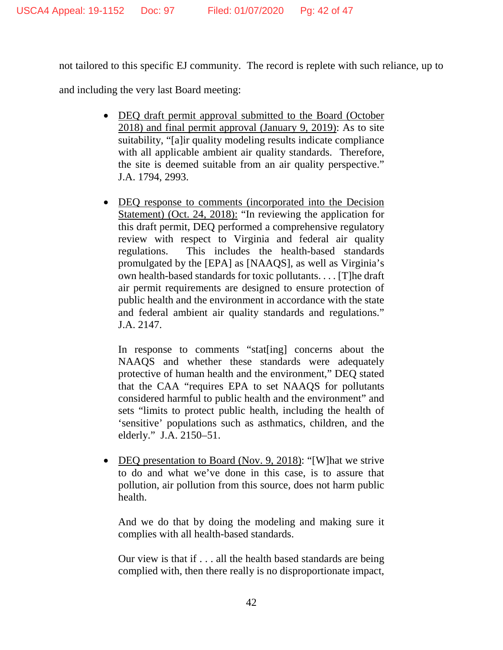not tailored to this specific EJ community. The record is replete with such reliance, up to

and including the very last Board meeting:

- DEQ draft permit approval submitted to the Board (October 2018) and final permit approval (January 9, 2019): As to site suitability, "[a]ir quality modeling results indicate compliance with all applicable ambient air quality standards. Therefore, the site is deemed suitable from an air quality perspective." J.A. 1794, 2993.
- DEQ response to comments (incorporated into the Decision Statement) (Oct. 24, 2018): "In reviewing the application for this draft permit, DEQ performed a comprehensive regulatory review with respect to Virginia and federal air quality regulations. This includes the health-based standards promulgated by the [EPA] as [NAAQS], as well as Virginia's own health-based standards for toxic pollutants. . . . [T]he draft air permit requirements are designed to ensure protection of public health and the environment in accordance with the state and federal ambient air quality standards and regulations." J.A. 2147.

In response to comments "stat[ing] concerns about the NAAQS and whether these standards were adequately protective of human health and the environment," DEQ stated that the CAA "requires EPA to set NAAQS for pollutants considered harmful to public health and the environment" and sets "limits to protect public health, including the health of 'sensitive' populations such as asthmatics, children, and the elderly." J.A. 2150–51.

• DEQ presentation to Board (Nov. 9, 2018): "[W] hat we strive to do and what we've done in this case, is to assure that pollution, air pollution from this source, does not harm public health.

And we do that by doing the modeling and making sure it complies with all health-based standards.

Our view is that if . . . all the health based standards are being complied with, then there really is no disproportionate impact,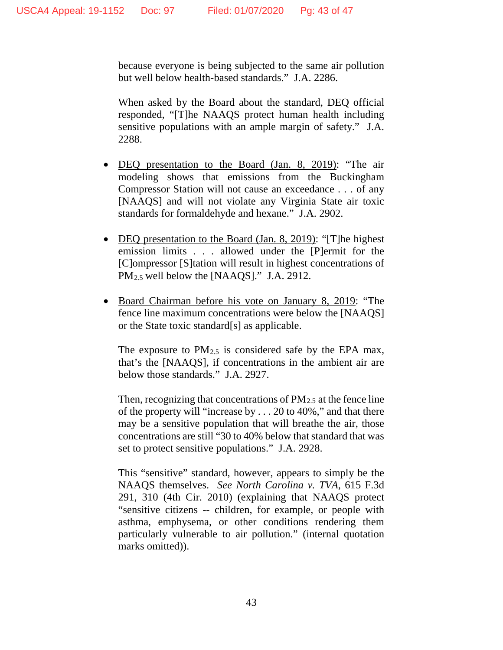because everyone is being subjected to the same air pollution but well below health-based standards." J.A. 2286.

When asked by the Board about the standard, DEQ official responded, "[T]he NAAQS protect human health including sensitive populations with an ample margin of safety." J.A. 2288.

- DEQ presentation to the Board (Jan. 8, 2019): "The air modeling shows that emissions from the Buckingham Compressor Station will not cause an exceedance . . . of any [NAAQS] and will not violate any Virginia State air toxic standards for formaldehyde and hexane." J.A. 2902.
- DEQ presentation to the Board (Jan. 8, 2019): "[T]he highest emission limits . . . allowed under the [P]ermit for the [C]ompressor [S]tation will result in highest concentrations of PM2.5 well below the [NAAQS]." J.A. 2912.
- Board Chairman before his vote on January 8, 2019: "The fence line maximum concentrations were below the [NAAQS] or the State toxic standard[s] as applicable.

The exposure to  $PM_{2.5}$  is considered safe by the EPA max, that's the [NAAQS], if concentrations in the ambient air are below those standards." J.A. 2927.

Then, recognizing that concentrations of  $PM_{2.5}$  at the fence line of the property will "increase by . . . 20 to 40%," and that there may be a sensitive population that will breathe the air, those concentrations are still "30 to 40% below that standard that was set to protect sensitive populations." J.A. 2928.

This "sensitive" standard, however, appears to simply be the NAAQS themselves. *See North Carolina v. TVA*, 615 F.3d 291, 310 (4th Cir. 2010) (explaining that NAAQS protect "sensitive citizens -- children, for example, or people with asthma, emphysema, or other conditions rendering them particularly vulnerable to air pollution." (internal quotation marks omitted)).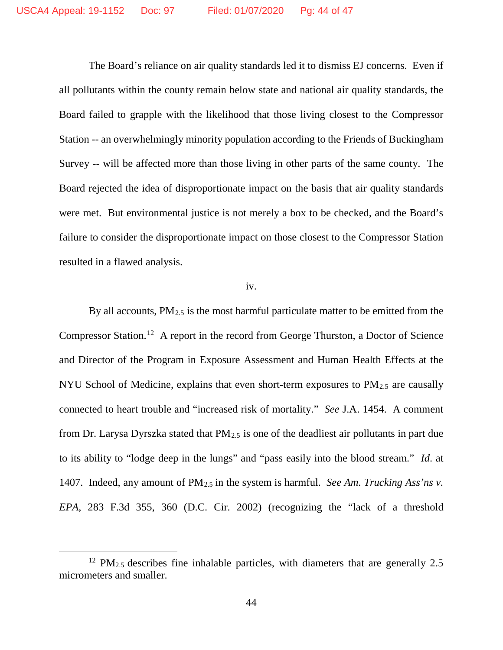The Board's reliance on air quality standards led it to dismiss EJ concerns. Even if all pollutants within the county remain below state and national air quality standards, the Board failed to grapple with the likelihood that those living closest to the Compressor Station -- an overwhelmingly minority population according to the Friends of Buckingham Survey -- will be affected more than those living in other parts of the same county. The Board rejected the idea of disproportionate impact on the basis that air quality standards were met. But environmental justice is not merely a box to be checked, and the Board's failure to consider the disproportionate impact on those closest to the Compressor Station resulted in a flawed analysis.

#### iv.

By all accounts,  $PM_{2.5}$  is the most harmful particulate matter to be emitted from the Compressor Station.[12](#page-43-0) A report in the record from George Thurston, a Doctor of Science and Director of the Program in Exposure Assessment and Human Health Effects at the NYU School of Medicine, explains that even short-term exposures to PM2.5 are causally connected to heart trouble and "increased risk of mortality." *See* J.A. 1454. A comment from Dr. Larysa Dyrszka stated that  $PM_{2.5}$  is one of the deadliest air pollutants in part due to its ability to "lodge deep in the lungs" and "pass easily into the blood stream." *Id*. at 1407. Indeed, any amount of PM2.5 in the system is harmful. *See Am. Trucking Ass'ns v. EPA*, 283 F.3d 355, 360 (D.C. Cir. 2002) (recognizing the "lack of a threshold

<span id="page-43-0"></span> $12$  PM<sub>2.5</sub> describes fine inhalable particles, with diameters that are generally 2.5 micrometers and smaller.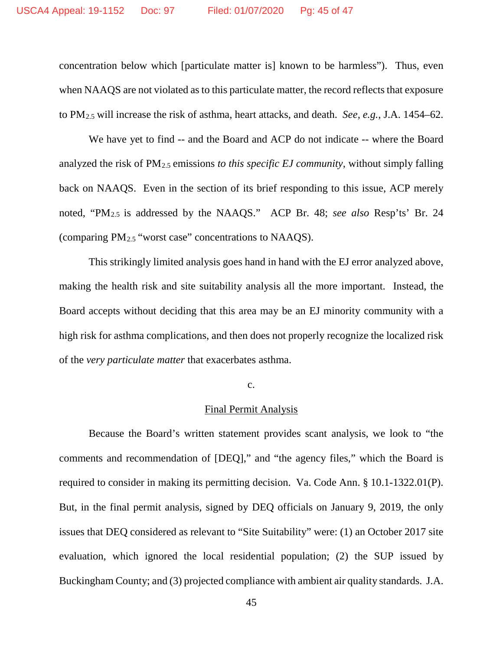concentration below which [particulate matter is] known to be harmless"). Thus, even when NAAQS are not violated as to this particulate matter, the record reflects that exposure to PM2.5 will increase the risk of asthma, heart attacks, and death. *See, e.g.*, J.A. 1454–62.

We have yet to find -- and the Board and ACP do not indicate -- where the Board analyzed the risk of PM2.5 emissions *to this specific EJ community*, without simply falling back on NAAQS. Even in the section of its brief responding to this issue, ACP merely noted, "PM2.5 is addressed by the NAAQS." ACP Br. 48; *see also* Resp'ts' Br. 24 (comparing PM2.5 "worst case" concentrations to NAAQS).

This strikingly limited analysis goes hand in hand with the EJ error analyzed above, making the health risk and site suitability analysis all the more important. Instead, the Board accepts without deciding that this area may be an EJ minority community with a high risk for asthma complications, and then does not properly recognize the localized risk of the *very particulate matter* that exacerbates asthma.

#### c.

#### Final Permit Analysis

Because the Board's written statement provides scant analysis, we look to "the comments and recommendation of [DEQ]," and "the agency files," which the Board is required to consider in making its permitting decision. Va. Code Ann. § 10.1-1322.01(P). But, in the final permit analysis, signed by DEQ officials on January 9, 2019, the only issues that DEQ considered as relevant to "Site Suitability" were: (1) an October 2017 site evaluation, which ignored the local residential population; (2) the SUP issued by Buckingham County; and (3) projected compliance with ambient air quality standards.J.A.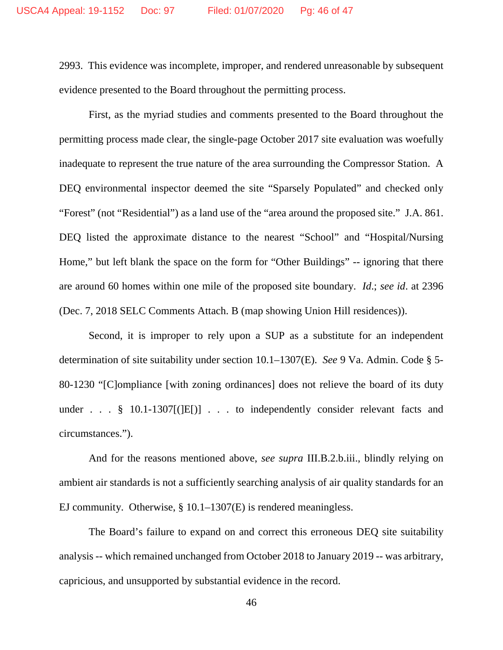2993. This evidence was incomplete, improper, and rendered unreasonable by subsequent evidence presented to the Board throughout the permitting process.

First, as the myriad studies and comments presented to the Board throughout the permitting process made clear, the single-page October 2017 site evaluation was woefully inadequate to represent the true nature of the area surrounding the Compressor Station. A DEQ environmental inspector deemed the site "Sparsely Populated" and checked only "Forest" (not "Residential") as a land use of the "area around the proposed site." J.A. 861. DEQ listed the approximate distance to the nearest "School" and "Hospital/Nursing Home," but left blank the space on the form for "Other Buildings" -- ignoring that there are around 60 homes within one mile of the proposed site boundary. *Id*.; *see id*. at 2396 (Dec. 7, 2018 SELC Comments Attach. B (map showing Union Hill residences)).

Second, it is improper to rely upon a SUP as a substitute for an independent determination of site suitability under section 10.1–1307(E). *See* 9 Va. Admin. Code § 5- 80-1230 "[C]ompliance [with zoning ordinances] does not relieve the board of its duty under . . .  $\S$  10.1-1307[( $|E|$ )] . . . to independently consider relevant facts and circumstances.").

And for the reasons mentioned above, *see supra* III.B.2.b.iii., blindly relying on ambient air standards is not a sufficiently searching analysis of air quality standards for an EJ community. Otherwise, § 10.1–1307(E) is rendered meaningless.

The Board's failure to expand on and correct this erroneous DEQ site suitability analysis -- which remained unchanged from October 2018 to January 2019 -- was arbitrary, capricious, and unsupported by substantial evidence in the record.